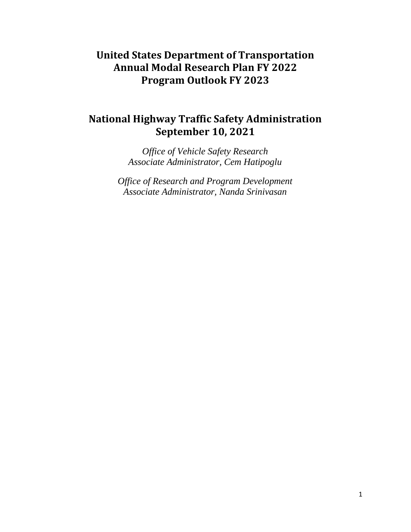# **United States Department of Transportation Annual Modal Research Plan FY 2022 Program Outlook FY 2023**

# **National Highway Traffic Safety Administration September 10, 2021**

*Office of Vehicle Safety Research Associate Administrator, Cem Hatipoglu*

*Office of Research and Program Development Associate Administrator, Nanda Srinivasan*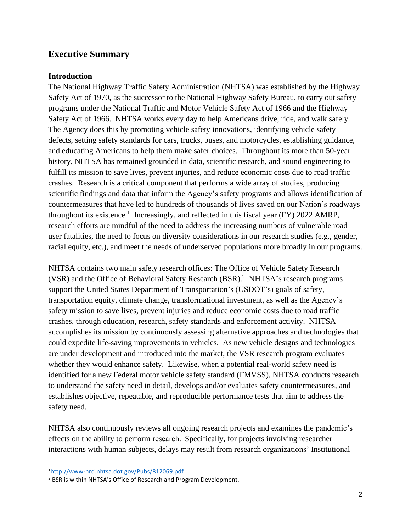### **Executive Summary**

#### **Introduction**

The National Highway Traffic Safety Administration (NHTSA) was established by the Highway Safety Act of 1970, as the successor to the National Highway Safety Bureau, to carry out safety programs under the National Traffic and Motor Vehicle Safety Act of 1966 and the Highway Safety Act of 1966. NHTSA works every day to help Americans drive, ride, and walk safely. The Agency does this by promoting vehicle safety innovations, identifying vehicle safety defects, setting safety standards for cars, trucks, buses, and motorcycles, establishing guidance, and educating Americans to help them make safer choices. Throughout its more than 50-year history, NHTSA has remained grounded in data, scientific research, and sound engineering to fulfill its mission to save lives, prevent injuries, and reduce economic costs due to road traffic crashes. Research is a critical component that performs a wide array of studies, producing scientific findings and data that inform the Agency's safety programs and allows identification of countermeasures that have led to hundreds of thousands of lives saved on our Nation's roadways throughout its existence.<sup>1</sup> Increasingly, and reflected in this fiscal year (FY) 2022 AMRP, research efforts are mindful of the need to address the increasing numbers of vulnerable road user fatalities, the need to focus on diversity considerations in our research studies (e.g., gender, racial equity, etc.), and meet the needs of underserved populations more broadly in our programs.

NHTSA contains two main safety research offices: The Office of Vehicle Safety Research (VSR) and the Office of Behavioral Safety Research (BSR).<sup>2</sup> NHTSA's research programs support the United States Department of Transportation's (USDOT's) goals of safety, transportation equity, climate change, transformational investment, as well as the Agency's safety mission to save lives, prevent injuries and reduce economic costs due to road traffic crashes, through education, research, safety standards and enforcement activity. NHTSA accomplishes its mission by continuously assessing alternative approaches and technologies that could expedite life-saving improvements in vehicles. As new vehicle designs and technologies are under development and introduced into the market, the VSR research program evaluates whether they would enhance safety. Likewise, when a potential real-world safety need is identified for a new Federal motor vehicle safety standard (FMVSS), NHTSA conducts research to understand the safety need in detail, develops and/or evaluates safety countermeasures, and establishes objective, repeatable, and reproducible performance tests that aim to address the safety need.

NHTSA also continuously reviews all ongoing research projects and examines the pandemic's effects on the ability to perform research.  Specifically, for projects involving researcher interactions with human subjects, delays may result from research organizations' Institutional

<sup>1</sup><http://www-nrd.nhtsa.dot.gov/Pubs/812069.pdf>

<sup>2</sup> BSR is within NHTSA's Office of Research and Program Development.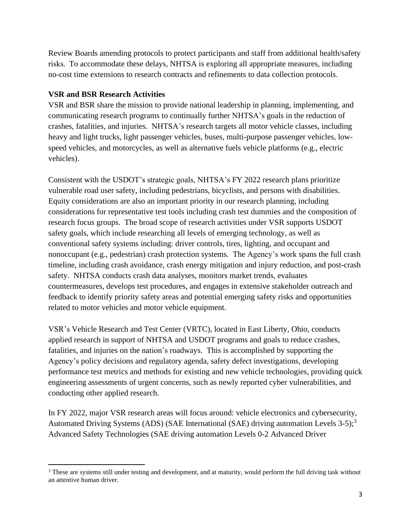Review Boards amending protocols to protect participants and staff from additional health/safety risks.  To accommodate these delays, NHTSA is exploring all appropriate measures, including no-cost time extensions to research contracts and refinements to data collection protocols. 

### **VSR and BSR Research Activities**

VSR and BSR share the mission to provide national leadership in planning, implementing, and communicating research programs to continually further NHTSA's goals in the reduction of crashes, fatalities, and injuries. NHTSA's research targets all motor vehicle classes, including heavy and light trucks, light passenger vehicles, buses, multi-purpose passenger vehicles, lowspeed vehicles, and motorcycles, as well as alternative fuels vehicle platforms (e.g., electric vehicles).

Consistent with the USDOT's strategic goals, NHTSA's FY 2022 research plans prioritize vulnerable road user safety, including pedestrians, bicyclists, and persons with disabilities. Equity considerations are also an important priority in our research planning, including considerations for representative test tools including crash test dummies and the composition of research focus groups. The broad scope of research activities under VSR supports USDOT safety goals, which include researching all levels of emerging technology, as well as conventional safety systems including: driver controls, tires, lighting, and occupant and nonoccupant (e.g., pedestrian) crash protection systems. The Agency's work spans the full crash timeline, including crash avoidance, crash energy mitigation and injury reduction, and post-crash safety. NHTSA conducts crash data analyses, monitors market trends, evaluates countermeasures, develops test procedures, and engages in extensive stakeholder outreach and feedback to identify priority safety areas and potential emerging safety risks and opportunities related to motor vehicles and motor vehicle equipment.

VSR's Vehicle Research and Test Center (VRTC), located in East Liberty, Ohio, conducts applied research in support of NHTSA and USDOT programs and goals to reduce crashes, fatalities, and injuries on the nation's roadways. This is accomplished by supporting the Agency's policy decisions and regulatory agenda, safety defect investigations, developing performance test metrics and methods for existing and new vehicle technologies, providing quick engineering assessments of urgent concerns, such as newly reported cyber vulnerabilities, and conducting other applied research.

In FY 2022, major VSR research areas will focus around: vehicle electronics and cybersecurity, Automated Driving Systems (ADS) (SAE International (SAE) driving automation Levels 3-5);<sup>3</sup> Advanced Safety Technologies (SAE driving automation Levels 0-2 Advanced Driver

<sup>&</sup>lt;sup>3</sup> These are systems still under testing and development, and at maturity, would perform the full driving task without an attentive human driver.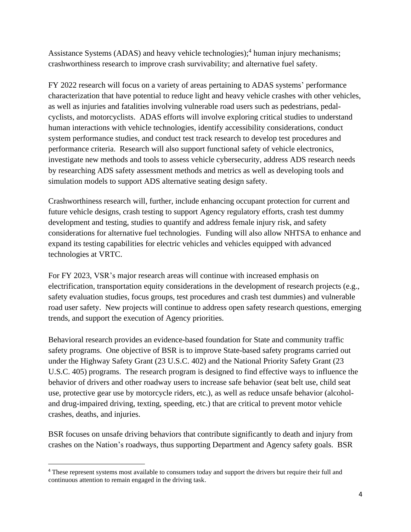Assistance Systems (ADAS) and heavy vehicle technologies); 4 human injury mechanisms; crashworthiness research to improve crash survivability; and alternative fuel safety.

FY 2022 research will focus on a variety of areas pertaining to ADAS systems' performance characterization that have potential to reduce light and heavy vehicle crashes with other vehicles, as well as injuries and fatalities involving vulnerable road users such as pedestrians, pedalcyclists, and motorcyclists. ADAS efforts will involve exploring critical studies to understand human interactions with vehicle technologies, identify accessibility considerations, conduct system performance studies, and conduct test track research to develop test procedures and performance criteria. Research will also support functional safety of vehicle electronics, investigate new methods and tools to assess vehicle cybersecurity, address ADS research needs by researching ADS safety assessment methods and metrics as well as developing tools and simulation models to support ADS alternative seating design safety.

Crashworthiness research will, further, include enhancing occupant protection for current and future vehicle designs, crash testing to support Agency regulatory efforts, crash test dummy development and testing, studies to quantify and address female injury risk, and safety considerations for alternative fuel technologies. Funding will also allow NHTSA to enhance and expand its testing capabilities for electric vehicles and vehicles equipped with advanced technologies at VRTC.

For FY 2023, VSR's major research areas will continue with increased emphasis on electrification, transportation equity considerations in the development of research projects (e.g., safety evaluation studies, focus groups, test procedures and crash test dummies) and vulnerable road user safety. New projects will continue to address open safety research questions, emerging trends, and support the execution of Agency priorities.

Behavioral research provides an evidence-based foundation for State and community traffic safety programs. One objective of BSR is to improve State-based safety programs carried out under the Highway Safety Grant (23 U.S.C. 402) and the National Priority Safety Grant (23 U.S.C. 405) programs. The research program is designed to find effective ways to influence the behavior of drivers and other roadway users to increase safe behavior (seat belt use, child seat use, protective gear use by motorcycle riders, etc.), as well as reduce unsafe behavior (alcoholand drug-impaired driving, texting, speeding, etc.) that are critical to prevent motor vehicle crashes, deaths, and injuries.

BSR focuses on unsafe driving behaviors that contribute significantly to death and injury from crashes on the Nation's roadways, thus supporting Department and Agency safety goals. BSR

<sup>4</sup> These represent systems most available to consumers today and support the drivers but require their full and continuous attention to remain engaged in the driving task.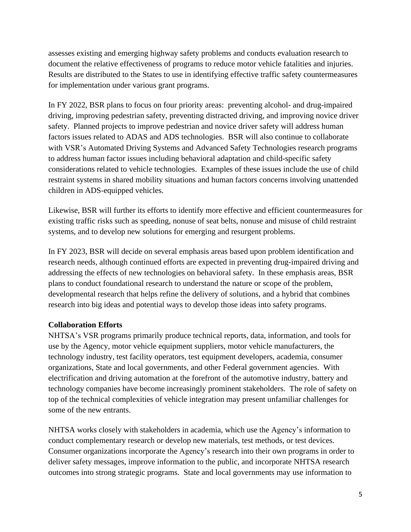assesses existing and emerging highway safety problems and conducts evaluation research to document the relative effectiveness of programs to reduce motor vehicle fatalities and injuries. Results are distributed to the States to use in identifying effective traffic safety countermeasures for implementation under various grant programs.

In FY 2022, BSR plans to focus on four priority areas: preventing alcohol- and drug-impaired driving, improving pedestrian safety, preventing distracted driving, and improving novice driver safety. Planned projects to improve pedestrian and novice driver safety will address human factors issues related to ADAS and ADS technologies. BSR will also continue to collaborate with VSR's Automated Driving Systems and Advanced Safety Technologies research programs to address human factor issues including behavioral adaptation and child-specific safety considerations related to vehicle technologies. Examples of these issues include the use of child restraint systems in shared mobility situations and human factors concerns involving unattended children in ADS-equipped vehicles.

Likewise, BSR will further its efforts to identify more effective and efficient countermeasures for existing traffic risks such as speeding, nonuse of seat belts, nonuse and misuse of child restraint systems, and to develop new solutions for emerging and resurgent problems.

In FY 2023, BSR will decide on several emphasis areas based upon problem identification and research needs, although continued efforts are expected in preventing drug-impaired driving and addressing the effects of new technologies on behavioral safety. In these emphasis areas, BSR plans to conduct foundational research to understand the nature or scope of the problem, developmental research that helps refine the delivery of solutions, and a hybrid that combines research into big ideas and potential ways to develop those ideas into safety programs.

### **Collaboration Efforts**

NHTSA's VSR programs primarily produce technical reports, data, information, and tools for use by the Agency, motor vehicle equipment suppliers, motor vehicle manufacturers, the technology industry, test facility operators, test equipment developers, academia, consumer organizations, State and local governments, and other Federal government agencies. With electrification and driving automation at the forefront of the automotive industry, battery and technology companies have become increasingly prominent stakeholders. The role of safety on top of the technical complexities of vehicle integration may present unfamiliar challenges for some of the new entrants.

NHTSA works closely with stakeholders in academia, which use the Agency's information to conduct complementary research or develop new materials, test methods, or test devices. Consumer organizations incorporate the Agency's research into their own programs in order to deliver safety messages, improve information to the public, and incorporate NHTSA research outcomes into strong strategic programs. State and local governments may use information to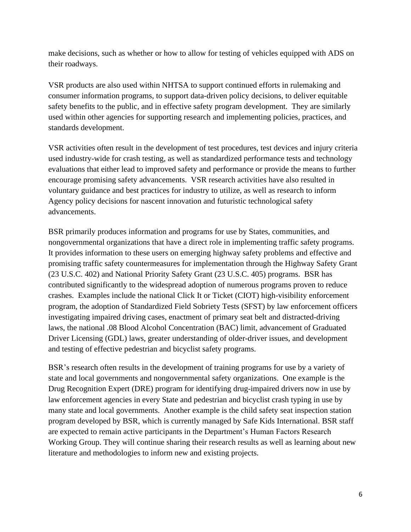make decisions, such as whether or how to allow for testing of vehicles equipped with ADS on their roadways.

VSR products are also used within NHTSA to support continued efforts in rulemaking and consumer information programs, to support data-driven policy decisions, to deliver equitable safety benefits to the public, and in effective safety program development. They are similarly used within other agencies for supporting research and implementing policies, practices, and standards development.

VSR activities often result in the development of test procedures, test devices and injury criteria used industry-wide for crash testing, as well as standardized performance tests and technology evaluations that either lead to improved safety and performance or provide the means to further encourage promising safety advancements. VSR research activities have also resulted in voluntary guidance and best practices for industry to utilize, as well as research to inform Agency policy decisions for nascent innovation and futuristic technological safety advancements.

BSR primarily produces information and programs for use by States, communities, and nongovernmental organizations that have a direct role in implementing traffic safety programs. It provides information to these users on emerging highway safety problems and effective and promising traffic safety countermeasures for implementation through the Highway Safety Grant (23 U.S.C. 402) and National Priority Safety Grant (23 U.S.C. 405) programs. BSR has contributed significantly to the widespread adoption of numerous programs proven to reduce crashes. Examples include the national Click It or Ticket (CIOT) high-visibility enforcement program, the adoption of Standardized Field Sobriety Tests (SFST) by law enforcement officers investigating impaired driving cases, enactment of primary seat belt and distracted-driving laws, the national .08 Blood Alcohol Concentration (BAC) limit, advancement of Graduated Driver Licensing (GDL) laws, greater understanding of older-driver issues, and development and testing of effective pedestrian and bicyclist safety programs.

BSR's research often results in the development of training programs for use by a variety of state and local governments and nongovernmental safety organizations. One example is the Drug Recognition Expert (DRE) program for identifying drug-impaired drivers now in use by law enforcement agencies in every State and pedestrian and bicyclist crash typing in use by many state and local governments. Another example is the child safety seat inspection station program developed by BSR, which is currently managed by Safe Kids International. BSR staff are expected to remain active participants in the Department's Human Factors Research Working Group. They will continue sharing their research results as well as learning about new literature and methodologies to inform new and existing projects.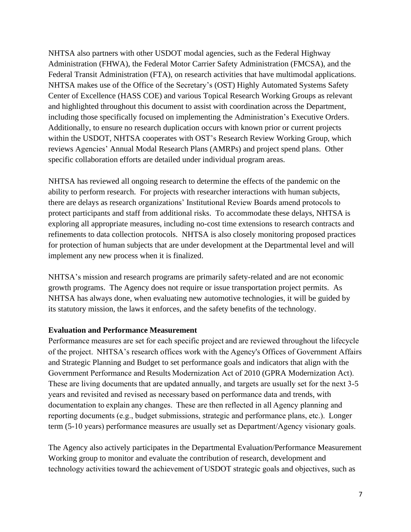NHTSA also partners with other USDOT modal agencies, such as the Federal Highway Administration (FHWA), the Federal Motor Carrier Safety Administration (FMCSA), and the Federal Transit Administration (FTA), on research activities that have multimodal applications. NHTSA makes use of the Office of the Secretary's (OST) Highly Automated Systems Safety Center of Excellence (HASS COE) and various Topical Research Working Groups as relevant and highlighted throughout this document to assist with coordination across the Department, including those specifically focused on implementing the Administration's Executive Orders. Additionally, to ensure no research duplication occurs with known prior or current projects within the USDOT, NHTSA cooperates with OST's Research Review Working Group, which reviews Agencies' Annual Modal Research Plans (AMRPs) and project spend plans. Other specific collaboration efforts are detailed under individual program areas.

NHTSA has reviewed all ongoing research to determine the effects of the pandemic on the ability to perform research. For projects with researcher interactions with human subjects, there are delays as research organizations' Institutional Review Boards amend protocols to protect participants and staff from additional risks. To accommodate these delays, NHTSA is exploring all appropriate measures, including no-cost time extensions to research contracts and refinements to data collection protocols. NHTSA is also closely monitoring proposed practices for protection of human subjects that are under development at the Departmental level and will implement any new process when it is finalized.

NHTSA's mission and research programs are primarily safety-related and are not economic growth programs. The Agency does not require or issue transportation project permits. As NHTSA has always done, when evaluating new automotive technologies, it will be guided by its statutory mission, the laws it enforces, and the safety benefits of the technology.

#### **Evaluation and Performance Measurement**

Performance measures are set for each specific project and are reviewed throughout the lifecycle of the project.  NHTSA's research offices work with the Agency's Offices of Government Affairs and Strategic Planning and Budget to set performance goals and indicators that align with the Government Performance and Results Modernization Act of 2010 (GPRA Modernization Act).  These are living documents that are updated annually, and targets are usually set for the next 3-5 years and revisited and revised as necessary based on performance data and trends, with documentation to explain any changes.  These are then reflected in all Agency planning and reporting documents (e.g., budget submissions, strategic and performance plans, etc.).  Longer term (5-10 years) performance measures are usually set as Department/Agency visionary goals. 

The Agency also actively participates in the Departmental Evaluation/Performance Measurement Working group to monitor and evaluate the contribution of research, development and technology activities toward the achievement of USDOT strategic goals and objectives, such as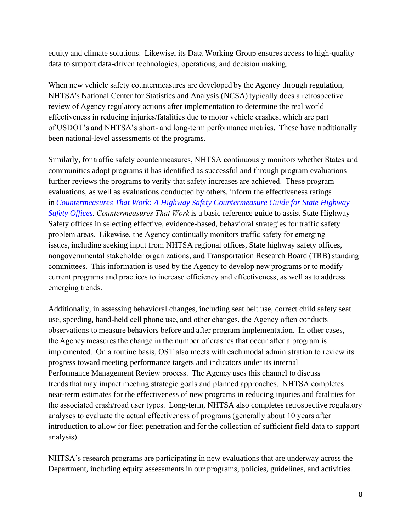equity and climate solutions.  Likewise, its Data Working Group ensures access to high-quality data to support data-driven technologies, operations, and decision making. 

When new vehicle safety countermeasures are developed by the Agency through regulation, NHTSA's National Center for Statistics and Analysis (NCSA) typically does a retrospective review of Agency regulatory actions after implementation to determine the real world effectiveness in reducing injuries/fatalities due to motor vehicle crashes, which are part of USDOT's and NHTSA's short- and long-term performance metrics.  These have traditionally been national-level assessments of the programs.

Similarly, for traffic safety countermeasures, NHTSA continuously monitors whether States and communities adopt programs it has identified as successful and through program evaluations further reviews the programs to verify that safety increases are achieved.  These program evaluations, as well as evaluations conducted by others, inform the effectiveness ratings in *[Countermeasures That Work: A Highway Safety Countermeasure Guide for State Highway](https://www.nhtsa.gov/sites/nhtsa.dot.gov/files/documents/812478_countermeasures-that-work-a-highway-safety-countermeasures-guide-.pdf)  [Safety Offices.](https://www.nhtsa.gov/sites/nhtsa.dot.gov/files/documents/812478_countermeasures-that-work-a-highway-safety-countermeasures-guide-.pdf) Countermeasures That Work*is a basic reference guide to assist State Highway Safety offices in selecting effective, evidence-based, behavioral strategies for traffic safety problem areas.  Likewise, the Agency continually monitors traffic safety for emerging issues, including seeking input from NHTSA regional offices, State highway safety offices, nongovernmental stakeholder organizations, and Transportation Research Board (TRB) standing committees.  This information is used by the Agency to develop new programs or to modify current programs and practices to increase efficiency and effectiveness, as well as to address emerging trends. 

Additionally, in assessing behavioral changes, including seat belt use, correct child safety seat use, speeding, hand-held cell phone use, and other changes, the Agency often conducts observations to measure behaviors before and after program implementation.  In other cases, the Agency measures the change in the number of crashes that occur after a program is implemented.  On a routine basis, OST also meets with each modal administration to review its progress toward meeting performance targets and indicators under its internal Performance Management Review process.  The Agency uses this channel to discuss trends that may impact meeting strategic goals and planned approaches.  NHTSA completes near-term estimates for the effectiveness of new programs in reducing injuries and fatalities for the associated crash/road user types.  Long-term, NHTSA also completes retrospective regulatory analyses to evaluate the actual effectiveness of programs (generally about 10 years after introduction to allow for fleet penetration and for the collection of sufficient field data to support analysis). 

NHTSA's research programs are participating in new evaluations that are underway across the Department, including equity assessments in our programs, policies, guidelines, and activities.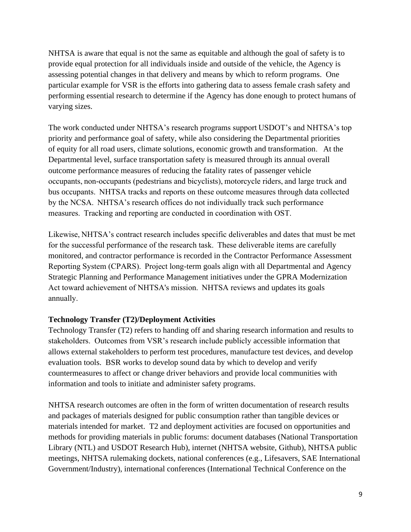NHTSA is aware that equal is not the same as equitable and although the goal of safety is to provide equal protection for all individuals inside and outside of the vehicle, the Agency is assessing potential changes in that delivery and means by which to reform programs. One particular example for VSR is the efforts into gathering data to assess female crash safety and performing essential research to determine if the Agency has done enough to protect humans of varying sizes.

The work conducted under NHTSA's research programs support USDOT's and NHTSA's top priority and performance goal of safety, while also considering the Departmental priorities of equity for all road users, climate solutions, economic growth and transformation.  At the Departmental level, surface transportation safety is measured through its annual overall outcome performance measures of reducing the fatality rates of passenger vehicle occupants, non-occupants (pedestrians and bicyclists), motorcycle riders, and large truck and bus occupants.  NHTSA tracks and reports on these outcome measures through data collected by the NCSA.  NHTSA's research offices do not individually track such performance measures.  Tracking and reporting are conducted in coordination with OST. 

Likewise, NHTSA's contract research includes specific deliverables and dates that must be met for the successful performance of the research task.  These deliverable items are carefully monitored, and contractor performance is recorded in the Contractor Performance Assessment Reporting System (CPARS).  Project long-term goals align with all Departmental and Agency Strategic Planning and Performance Management initiatives under the GPRA Modernization Act toward achievement of NHTSA's mission.  NHTSA reviews and updates its goals annually. 

### **Technology Transfer (T2)/Deployment Activities**

Technology Transfer (T2) refers to handing off and sharing research information and results to stakeholders. Outcomes from VSR's research include publicly accessible information that allows external stakeholders to perform test procedures, manufacture test devices, and develop evaluation tools. BSR works to develop sound data by which to develop and verify countermeasures to affect or change driver behaviors and provide local communities with information and tools to initiate and administer safety programs.

NHTSA research outcomes are often in the form of written documentation of research results and packages of materials designed for public consumption rather than tangible devices or materials intended for market. T2 and deployment activities are focused on opportunities and methods for providing materials in public forums: document databases (National Transportation Library (NTL) and USDOT Research Hub), internet (NHTSA website, Github), NHTSA public meetings, NHTSA rulemaking dockets, national conferences (e.g., Lifesavers, SAE International Government/Industry), international conferences (International Technical Conference on the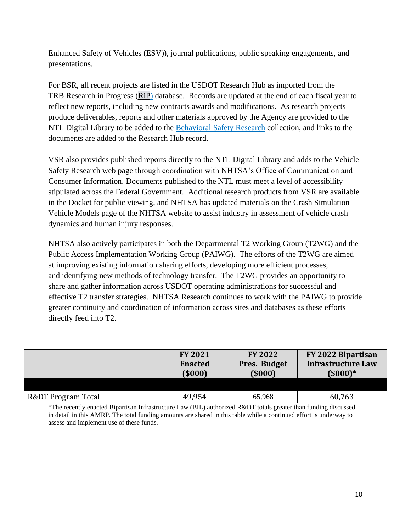Enhanced Safety of Vehicles (ESV)), journal publications, public speaking engagements, and presentations.

For BSR, all recent projects are listed in the USDOT Research Hub as imported from the TRB Research in Progress [\(RiP\)](https://rip.trb.org/) database. Records are updated at the end of each fiscal year to reflect new reports, including new contracts awards and modifications. As research projects produce deliverables, reports and other materials approved by the Agency are provided to the NTL Digital Library to be added to the **[Behavioral Safety Research](https://rosap.ntl.bts.gov/cbrowse?pid=dot%3A242&parentId=dot%3A242) collection**, and links to the documents are added to the Research Hub record.

VSR also provides published reports directly to the NTL Digital Library and adds to the Vehicle Safety Research web page through coordination with NHTSA's Office of Communication and Consumer Information. Documents published to the NTL must meet a level of accessibility stipulated across the Federal Government. Additional research products from VSR are available in the Docket for public viewing, and NHTSA has updated materials on the Crash Simulation Vehicle Models page of the NHTSA website to assist industry in assessment of vehicle crash dynamics and human injury responses.

NHTSA also actively participates in both the Departmental T2 Working Group (T2WG) and the Public Access Implementation Working Group (PAIWG). The efforts of the T2WG are aimed at improving existing information sharing efforts, developing more efficient processes, and identifying new methods of technology transfer. The T2WG provides an opportunity to share and gather information across USDOT operating administrations for successful and effective T2 transfer strategies. NHTSA Research continues to work with the PAIWG to provide greater continuity and coordination of information across sites and databases as these efforts directly feed into T2.

|                    | <b>FY 2021</b> | <b>FY 2022</b> | FY 2022 Bipartisan        |
|--------------------|----------------|----------------|---------------------------|
|                    | <b>Enacted</b> | Pres. Budget   | <b>Infrastructure Law</b> |
|                    | (5000)         | (5000)         | $(5000)*$                 |
|                    |                |                |                           |
| R&DT Program Total | 49.954         | 65,968         | 60,763                    |

\*The recently enacted Bipartisan Infrastructure Law (BIL) authorized R&DT totals greater than funding discussed in detail in this AMRP. The total funding amounts are shared in this table while a continued effort is underway to assess and implement use of these funds.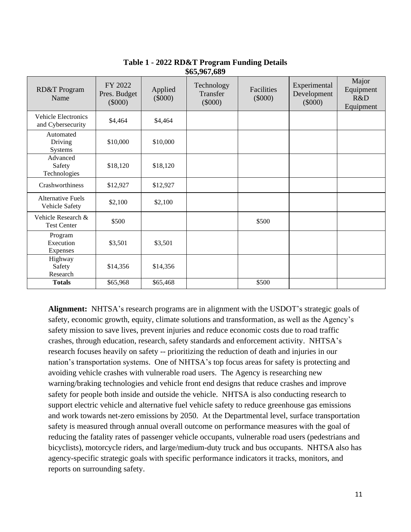| RD&T Program<br>Name                            | FY 2022<br>Pres. Budget<br>$(\$000)$ | Applied<br>$(\$000)$ | Technology<br>Transfer<br>$(\$000)$ | Facilities<br>$(\$000)$ | Experimental<br>Development<br>$(\$000)$ | Major<br>Equipment<br>R&D<br>Equipment |
|-------------------------------------------------|--------------------------------------|----------------------|-------------------------------------|-------------------------|------------------------------------------|----------------------------------------|
| <b>Vehicle Electronics</b><br>and Cybersecurity | \$4,464                              | \$4,464              |                                     |                         |                                          |                                        |
| Automated<br>Driving<br>Systems                 | \$10,000                             | \$10,000             |                                     |                         |                                          |                                        |
| Advanced<br>Safety<br>Technologies              | \$18,120                             | \$18,120             |                                     |                         |                                          |                                        |
| Crashworthiness                                 | \$12,927                             | \$12,927             |                                     |                         |                                          |                                        |
| <b>Alternative Fuels</b><br>Vehicle Safety      | \$2,100                              | \$2,100              |                                     |                         |                                          |                                        |
| Vehicle Research &<br><b>Test Center</b>        | \$500                                |                      |                                     | \$500                   |                                          |                                        |
| Program<br>Execution<br>Expenses                | \$3,501                              | \$3,501              |                                     |                         |                                          |                                        |
| Highway<br>Safety<br>Research                   | \$14,356                             | \$14,356             |                                     |                         |                                          |                                        |
| <b>Totals</b>                                   | \$65,968                             | \$65,468             |                                     | \$500                   |                                          |                                        |

#### **Table 1 - 2022 RD&T Program Funding Details \$65,967,689**

**Alignment:** NHTSA's research programs are in alignment with the USDOT's strategic goals of safety, economic growth, equity, climate solutions and transformation, as well as the Agency's safety mission to save lives, prevent injuries and reduce economic costs due to road traffic crashes, through education, research, safety standards and enforcement activity. NHTSA's research focuses heavily on safety -- prioritizing the reduction of death and injuries in our nation's transportation systems. One of NHTSA's top focus areas for safety is protecting and avoiding vehicle crashes with vulnerable road users. The Agency is researching new warning/braking technologies and vehicle front end designs that reduce crashes and improve safety for people both inside and outside the vehicle. NHTSA is also conducting research to support electric vehicle and alternative fuel vehicle safety to reduce greenhouse gas emissions and work towards net-zero emissions by 2050. At the Departmental level, surface transportation safety is measured through annual overall outcome on performance measures with the goal of reducing the fatality rates of passenger vehicle occupants, vulnerable road users (pedestrians and bicyclists), motorcycle riders, and large/medium-duty truck and bus occupants. NHTSA also has agency-specific strategic goals with specific performance indicators it tracks, monitors, and reports on surrounding safety.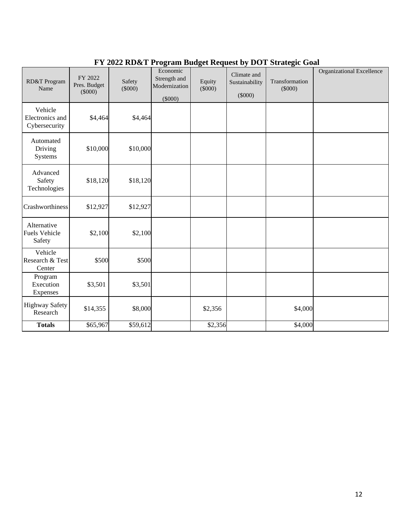|                                               |                                      |                     |                                                        |                  |                                            | r i 2022 KDWT TT0gram Dauget Kequest by DOT Strategie Goan |                           |
|-----------------------------------------------|--------------------------------------|---------------------|--------------------------------------------------------|------------------|--------------------------------------------|------------------------------------------------------------|---------------------------|
| RD&T Program<br>Name                          | FY 2022<br>Pres. Budget<br>$(\$000)$ | Safety<br>$(\$000)$ | Economic<br>Strength and<br>Modernization<br>$(\$000)$ | Equity<br>(5000) | Climate and<br>Sustainability<br>$(\$000)$ | Transformation<br>$(\$000)$                                | Organizational Excellence |
| Vehicle<br>Electronics and<br>Cybersecurity   | \$4,464                              | \$4,464             |                                                        |                  |                                            |                                                            |                           |
| Automated<br>Driving<br>Systems               | \$10,000                             | \$10,000            |                                                        |                  |                                            |                                                            |                           |
| Advanced<br>Safety<br>Technologies            | \$18,120                             | \$18,120            |                                                        |                  |                                            |                                                            |                           |
| Crashworthiness                               | \$12,927                             | \$12,927            |                                                        |                  |                                            |                                                            |                           |
| Alternative<br><b>Fuels Vehicle</b><br>Safety | \$2,100                              | \$2,100             |                                                        |                  |                                            |                                                            |                           |
| Vehicle<br>Research & Test<br>Center          | \$500                                | \$500               |                                                        |                  |                                            |                                                            |                           |
| Program<br>Execution<br>Expenses              | \$3,501                              | \$3,501             |                                                        |                  |                                            |                                                            |                           |
| <b>Highway Safety</b><br>Research             | \$14,355                             | \$8,000             |                                                        | \$2,356          |                                            | \$4,000                                                    |                           |
| <b>Totals</b>                                 | \$65,967                             | \$59,612            |                                                        | \$2,356          |                                            | \$4,000                                                    |                           |

## **FY 2022 RD&T Program Budget Request by DOT Strategic Goal**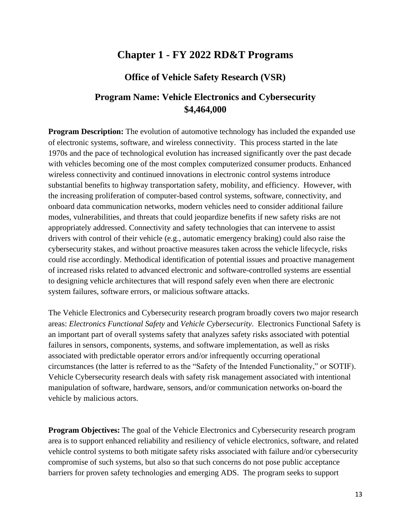## **Chapter 1 - FY 2022 RD&T Programs**

### **Office of Vehicle Safety Research (VSR)**

## **Program Name: Vehicle Electronics and Cybersecurity \$4,464,000**

**Program Description:** The evolution of automotive technology has included the expanded use of electronic systems, software, and wireless connectivity. This process started in the late 1970s and the pace of technological evolution has increased significantly over the past decade with vehicles becoming one of the most complex computerized consumer products. Enhanced wireless connectivity and continued innovations in electronic control systems introduce substantial benefits to highway transportation safety, mobility, and efficiency. However, with the increasing proliferation of computer-based control systems, software, connectivity, and onboard data communication networks, modern vehicles need to consider additional failure modes, vulnerabilities, and threats that could jeopardize benefits if new safety risks are not appropriately addressed. Connectivity and safety technologies that can intervene to assist drivers with control of their vehicle (e.g., automatic emergency braking) could also raise the cybersecurity stakes, and without proactive measures taken across the vehicle lifecycle, risks could rise accordingly. Methodical identification of potential issues and proactive management of increased risks related to advanced electronic and software-controlled systems are essential to designing vehicle architectures that will respond safely even when there are electronic system failures, software errors, or malicious software attacks.

The Vehicle Electronics and Cybersecurity research program broadly covers two major research areas: *Electronics Functional Safety* and *Vehicle Cybersecurity*. Electronics Functional Safety is an important part of overall systems safety that analyzes safety risks associated with potential failures in sensors, components, systems, and software implementation, as well as risks associated with predictable operator errors and/or infrequently occurring operational circumstances (the latter is referred to as the "Safety of the Intended Functionality," or SOTIF). Vehicle Cybersecurity research deals with safety risk management associated with intentional manipulation of software, hardware, sensors, and/or communication networks on-board the vehicle by malicious actors.

**Program Objectives:** The goal of the Vehicle Electronics and Cybersecurity research program area is to support enhanced reliability and resiliency of vehicle electronics, software, and related vehicle control systems to both mitigate safety risks associated with failure and/or cybersecurity compromise of such systems, but also so that such concerns do not pose public acceptance barriers for proven safety technologies and emerging ADS. The program seeks to support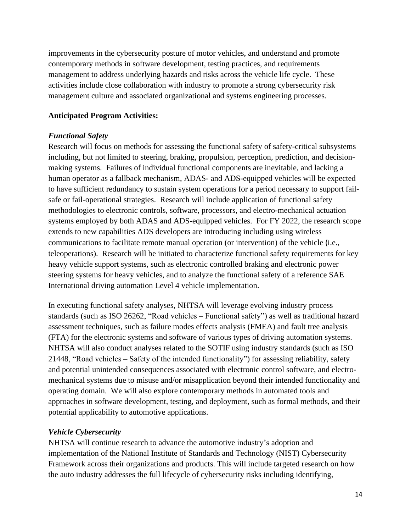improvements in the cybersecurity posture of motor vehicles, and understand and promote contemporary methods in software development, testing practices, and requirements management to address underlying hazards and risks across the vehicle life cycle. These activities include close collaboration with industry to promote a strong cybersecurity risk management culture and associated organizational and systems engineering processes.

#### **Anticipated Program Activities:**

#### *Functional Safety*

Research will focus on methods for assessing the functional safety of safety-critical subsystems including, but not limited to steering, braking, propulsion, perception, prediction, and decisionmaking systems. Failures of individual functional components are inevitable, and lacking a human operator as a fallback mechanism, ADAS- and ADS-equipped vehicles will be expected to have sufficient redundancy to sustain system operations for a period necessary to support failsafe or fail-operational strategies. Research will include application of functional safety methodologies to electronic controls, software, processors, and electro-mechanical actuation systems employed by both ADAS and ADS-equipped vehicles. For FY 2022, the research scope extends to new capabilities ADS developers are introducing including using wireless communications to facilitate remote manual operation (or intervention) of the vehicle (i.e., teleoperations). Research will be initiated to characterize functional safety requirements for key heavy vehicle support systems, such as electronic controlled braking and electronic power steering systems for heavy vehicles, and to analyze the functional safety of a reference SAE International driving automation Level 4 vehicle implementation.

In executing functional safety analyses, NHTSA will leverage evolving industry process standards (such as ISO 26262, "Road vehicles – Functional safety") as well as traditional hazard assessment techniques, such as failure modes effects analysis (FMEA) and fault tree analysis (FTA) for the electronic systems and software of various types of driving automation systems. NHTSA will also conduct analyses related to the SOTIF using industry standards (such as ISO 21448, "Road vehicles – Safety of the intended functionality") for assessing reliability, safety and potential unintended consequences associated with electronic control software, and electromechanical systems due to misuse and/or misapplication beyond their intended functionality and operating domain. We will also explore contemporary methods in automated tools and approaches in software development, testing, and deployment, such as formal methods, and their potential applicability to automotive applications.

### *Vehicle Cybersecurity*

NHTSA will continue research to advance the automotive industry's adoption and implementation of the National Institute of Standards and Technology (NIST) Cybersecurity Framework across their organizations and products. This will include targeted research on how the auto industry addresses the full lifecycle of cybersecurity risks including identifying,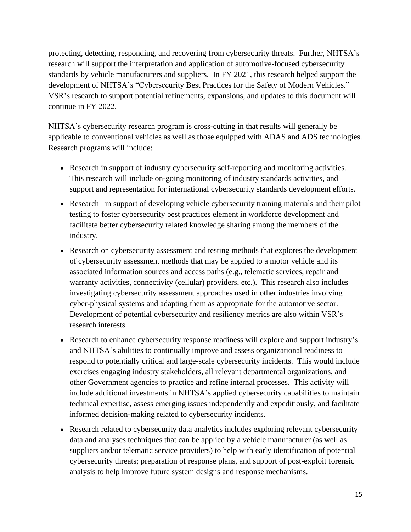protecting, detecting, responding, and recovering from cybersecurity threats. Further, NHTSA's research will support the interpretation and application of automotive-focused cybersecurity standards by vehicle manufacturers and suppliers. In FY 2021, this research helped support the development of NHTSA's "Cybersecurity Best Practices for the Safety of Modern Vehicles." VSR's research to support potential refinements, expansions, and updates to this document will continue in FY 2022.

NHTSA's cybersecurity research program is cross-cutting in that results will generally be applicable to conventional vehicles as well as those equipped with ADAS and ADS technologies. Research programs will include:

- Research in support of industry cybersecurity self-reporting and monitoring activities. This research will include on-going monitoring of industry standards activities, and support and representation for international cybersecurity standards development efforts.
- Research in support of developing vehicle cybersecurity training materials and their pilot testing to foster cybersecurity best practices element in workforce development and facilitate better cybersecurity related knowledge sharing among the members of the industry.
- Research on cybersecurity assessment and testing methods that explores the development of cybersecurity assessment methods that may be applied to a motor vehicle and its associated information sources and access paths (e.g., telematic services, repair and warranty activities, connectivity (cellular) providers, etc.). This research also includes investigating cybersecurity assessment approaches used in other industries involving cyber-physical systems and adapting them as appropriate for the automotive sector. Development of potential cybersecurity and resiliency metrics are also within VSR's research interests.
- Research to enhance cybersecurity response readiness will explore and support industry's and NHTSA's abilities to continually improve and assess organizational readiness to respond to potentially critical and large-scale cybersecurity incidents. This would include exercises engaging industry stakeholders, all relevant departmental organizations, and other Government agencies to practice and refine internal processes. This activity will include additional investments in NHTSA's applied cybersecurity capabilities to maintain technical expertise, assess emerging issues independently and expeditiously, and facilitate informed decision-making related to cybersecurity incidents.
- Research related to cybersecurity data analytics includes exploring relevant cybersecurity data and analyses techniques that can be applied by a vehicle manufacturer (as well as suppliers and/or telematic service providers) to help with early identification of potential cybersecurity threats; preparation of response plans, and support of post-exploit forensic analysis to help improve future system designs and response mechanisms.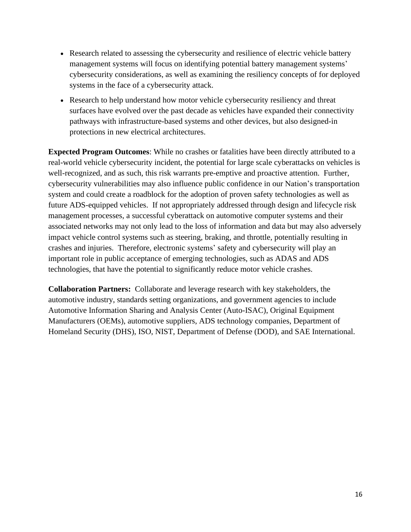- Research related to assessing the cybersecurity and resilience of electric vehicle battery management systems will focus on identifying potential battery management systems' cybersecurity considerations, as well as examining the resiliency concepts of for deployed systems in the face of a cybersecurity attack.
- Research to help understand how motor vehicle cybersecurity resiliency and threat surfaces have evolved over the past decade as vehicles have expanded their connectivity pathways with infrastructure-based systems and other devices, but also designed-in protections in new electrical architectures.

**Expected Program Outcomes**: While no crashes or fatalities have been directly attributed to a real-world vehicle cybersecurity incident, the potential for large scale cyberattacks on vehicles is well-recognized, and as such, this risk warrants pre-emptive and proactive attention. Further, cybersecurity vulnerabilities may also influence public confidence in our Nation's transportation system and could create a roadblock for the adoption of proven safety technologies as well as future ADS-equipped vehicles. If not appropriately addressed through design and lifecycle risk management processes, a successful cyberattack on automotive computer systems and their associated networks may not only lead to the loss of information and data but may also adversely impact vehicle control systems such as steering, braking, and throttle, potentially resulting in crashes and injuries. Therefore, electronic systems' safety and cybersecurity will play an important role in public acceptance of emerging technologies, such as ADAS and ADS technologies, that have the potential to significantly reduce motor vehicle crashes.

**Collaboration Partners:** Collaborate and leverage research with key stakeholders, the automotive industry, standards setting organizations, and government agencies to include Automotive Information Sharing and Analysis Center (Auto-ISAC), Original Equipment Manufacturers (OEMs), automotive suppliers, ADS technology companies, Department of Homeland Security (DHS), ISO, NIST, Department of Defense (DOD), and SAE International.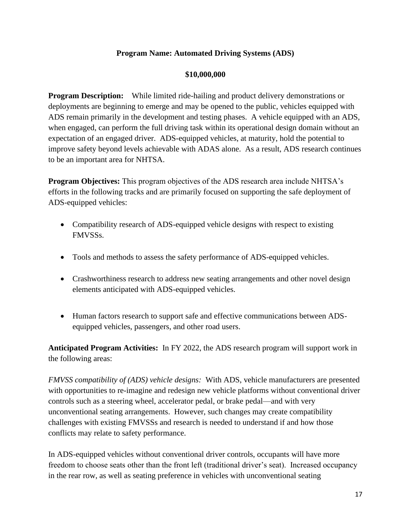### **Program Name: Automated Driving Systems (ADS)**

#### **\$10,000,000**

**Program Description:** While limited ride-hailing and product delivery demonstrations or deployments are beginning to emerge and may be opened to the public, vehicles equipped with ADS remain primarily in the development and testing phases. A vehicle equipped with an ADS, when engaged, can perform the full driving task within its operational design domain without an expectation of an engaged driver. ADS-equipped vehicles, at maturity, hold the potential to improve safety beyond levels achievable with ADAS alone. As a result, ADS research continues to be an important area for NHTSA.

**Program Objectives:** This program objectives of the ADS research area include NHTSA's efforts in the following tracks and are primarily focused on supporting the safe deployment of ADS-equipped vehicles:

- Compatibility research of ADS-equipped vehicle designs with respect to existing FMVSSs.
- Tools and methods to assess the safety performance of ADS-equipped vehicles.
- Crashworthiness research to address new seating arrangements and other novel design elements anticipated with ADS-equipped vehicles.
- Human factors research to support safe and effective communications between ADSequipped vehicles, passengers, and other road users.

**Anticipated Program Activities:** In FY 2022, the ADS research program will support work in the following areas:

*FMVSS compatibility of (ADS) vehicle designs:* With ADS, vehicle manufacturers are presented with opportunities to re-imagine and redesign new vehicle platforms without conventional driver controls such as a steering wheel, accelerator pedal, or brake pedal—and with very unconventional seating arrangements. However, such changes may create compatibility challenges with existing FMVSSs and research is needed to understand if and how those conflicts may relate to safety performance.

In ADS-equipped vehicles without conventional driver controls, occupants will have more freedom to choose seats other than the front left (traditional driver's seat). Increased occupancy in the rear row, as well as seating preference in vehicles with unconventional seating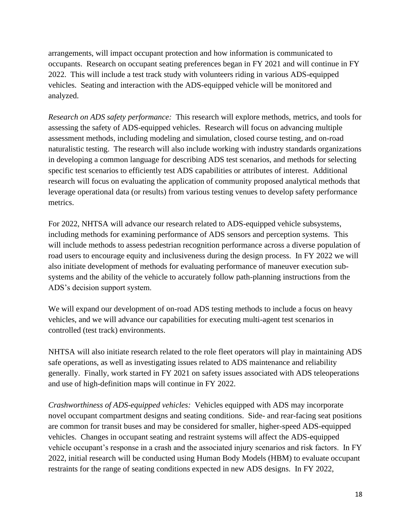arrangements, will impact occupant protection and how information is communicated to occupants. Research on occupant seating preferences began in FY 2021 and will continue in FY 2022. This will include a test track study with volunteers riding in various ADS-equipped vehicles. Seating and interaction with the ADS-equipped vehicle will be monitored and analyzed.

*Research on ADS safety performance:* This research will explore methods, metrics, and tools for assessing the safety of ADS-equipped vehicles. Research will focus on advancing multiple assessment methods, including modeling and simulation, closed course testing, and on-road naturalistic testing. The research will also include working with industry standards organizations in developing a common language for describing ADS test scenarios, and methods for selecting specific test scenarios to efficiently test ADS capabilities or attributes of interest. Additional research will focus on evaluating the application of community proposed analytical methods that leverage operational data (or results) from various testing venues to develop safety performance metrics.

For 2022, NHTSA will advance our research related to ADS-equipped vehicle subsystems, including methods for examining performance of ADS sensors and perception systems. This will include methods to assess pedestrian recognition performance across a diverse population of road users to encourage equity and inclusiveness during the design process. In FY 2022 we will also initiate development of methods for evaluating performance of maneuver execution subsystems and the ability of the vehicle to accurately follow path-planning instructions from the ADS's decision support system.

We will expand our development of on-road ADS testing methods to include a focus on heavy vehicles, and we will advance our capabilities for executing multi-agent test scenarios in controlled (test track) environments.

NHTSA will also initiate research related to the role fleet operators will play in maintaining ADS safe operations, as well as investigating issues related to ADS maintenance and reliability generally. Finally, work started in FY 2021 on safety issues associated with ADS teleoperations and use of high-definition maps will continue in FY 2022.

*Crashworthiness of ADS-equipped vehicles:* Vehicles equipped with ADS may incorporate novel occupant compartment designs and seating conditions. Side- and rear-facing seat positions are common for transit buses and may be considered for smaller, higher-speed ADS-equipped vehicles. Changes in occupant seating and restraint systems will affect the ADS-equipped vehicle occupant's response in a crash and the associated injury scenarios and risk factors. In FY 2022, initial research will be conducted using Human Body Models (HBM) to evaluate occupant restraints for the range of seating conditions expected in new ADS designs. In FY 2022,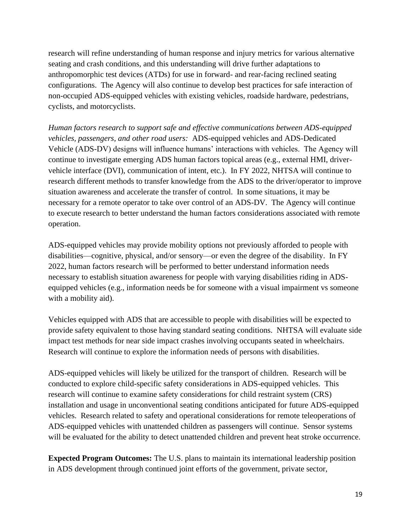research will refine understanding of human response and injury metrics for various alternative seating and crash conditions, and this understanding will drive further adaptations to anthropomorphic test devices (ATDs) for use in forward- and rear-facing reclined seating configurations. The Agency will also continue to develop best practices for safe interaction of non-occupied ADS-equipped vehicles with existing vehicles, roadside hardware, pedestrians, cyclists, and motorcyclists.

*Human factors research to support safe and effective communications between ADS-equipped vehicles, passengers, and other road users:* ADS-equipped vehicles and ADS-Dedicated Vehicle (ADS-DV) designs will influence humans' interactions with vehicles. The Agency will continue to investigate emerging ADS human factors topical areas (e.g., external HMI, drivervehicle interface (DVI), communication of intent, etc.). In FY 2022, NHTSA will continue to research different methods to transfer knowledge from the ADS to the driver/operator to improve situation awareness and accelerate the transfer of control. In some situations, it may be necessary for a remote operator to take over control of an ADS-DV. The Agency will continue to execute research to better understand the human factors considerations associated with remote operation.

ADS-equipped vehicles may provide mobility options not previously afforded to people with disabilities—cognitive, physical, and/or sensory—or even the degree of the disability. In FY 2022, human factors research will be performed to better understand information needs necessary to establish situation awareness for people with varying disabilities riding in ADSequipped vehicles (e.g., information needs be for someone with a visual impairment vs someone with a mobility aid).

Vehicles equipped with ADS that are accessible to people with disabilities will be expected to provide safety equivalent to those having standard seating conditions. NHTSA will evaluate side impact test methods for near side impact crashes involving occupants seated in wheelchairs. Research will continue to explore the information needs of persons with disabilities.

ADS-equipped vehicles will likely be utilized for the transport of children. Research will be conducted to explore child-specific safety considerations in ADS-equipped vehicles. This research will continue to examine safety considerations for child restraint system (CRS) installation and usage in unconventional seating conditions anticipated for future ADS-equipped vehicles. Research related to safety and operational considerations for remote teleoperations of ADS-equipped vehicles with unattended children as passengers will continue. Sensor systems will be evaluated for the ability to detect unattended children and prevent heat stroke occurrence.

**Expected Program Outcomes:** The U.S. plans to maintain its international leadership position in ADS development through continued joint efforts of the government, private sector,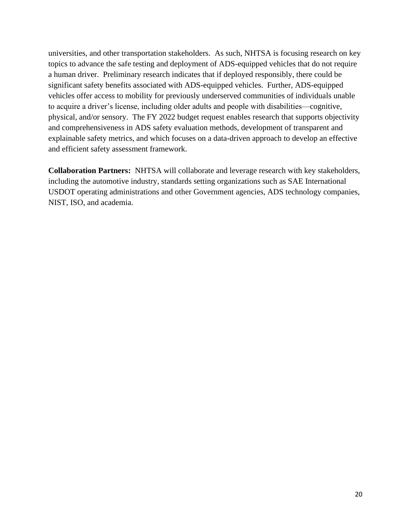universities, and other transportation stakeholders. As such, NHTSA is focusing research on key topics to advance the safe testing and deployment of ADS-equipped vehicles that do not require a human driver. Preliminary research indicates that if deployed responsibly, there could be significant safety benefits associated with ADS-equipped vehicles. Further, ADS-equipped vehicles offer access to mobility for previously underserved communities of individuals unable to acquire a driver's license, including older adults and people with disabilities—cognitive, physical, and/or sensory. The FY 2022 budget request enables research that supports objectivity and comprehensiveness in ADS safety evaluation methods, development of transparent and explainable safety metrics, and which focuses on a data-driven approach to develop an effective and efficient safety assessment framework.

**Collaboration Partners:** NHTSA will collaborate and leverage research with key stakeholders, including the automotive industry, standards setting organizations such as SAE International USDOT operating administrations and other Government agencies, ADS technology companies, NIST, ISO, and academia.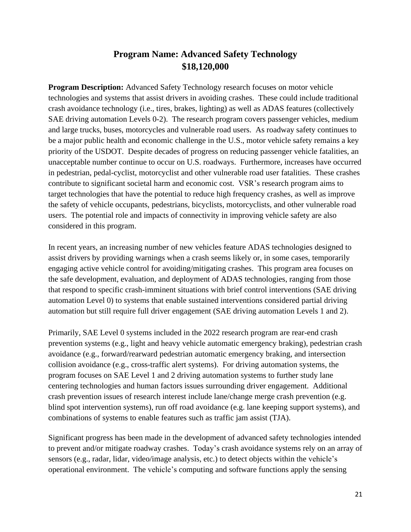## **Program Name: Advanced Safety Technology \$18,120,000**

**Program Description:** Advanced Safety Technology research focuses on motor vehicle technologies and systems that assist drivers in avoiding crashes. These could include traditional crash avoidance technology (i.e., tires, brakes, lighting) as well as ADAS features (collectively SAE driving automation Levels 0-2). The research program covers passenger vehicles, medium and large trucks, buses, motorcycles and vulnerable road users. As roadway safety continues to be a major public health and economic challenge in the U.S., motor vehicle safety remains a key priority of the USDOT. Despite decades of progress on reducing passenger vehicle fatalities, an unacceptable number continue to occur on U.S. roadways. Furthermore, increases have occurred in pedestrian, pedal-cyclist, motorcyclist and other vulnerable road user fatalities. These crashes contribute to significant societal harm and economic cost. VSR's research program aims to target technologies that have the potential to reduce high frequency crashes, as well as improve the safety of vehicle occupants, pedestrians, bicyclists, motorcyclists, and other vulnerable road users. The potential role and impacts of connectivity in improving vehicle safety are also considered in this program.

In recent years, an increasing number of new vehicles feature ADAS technologies designed to assist drivers by providing warnings when a crash seems likely or, in some cases, temporarily engaging active vehicle control for avoiding/mitigating crashes. This program area focuses on the safe development, evaluation, and deployment of ADAS technologies, ranging from those that respond to specific crash-imminent situations with brief control interventions (SAE driving automation Level 0) to systems that enable sustained interventions considered partial driving automation but still require full driver engagement (SAE driving automation Levels 1 and 2).

Primarily, SAE Level 0 systems included in the 2022 research program are rear-end crash prevention systems (e.g., light and heavy vehicle automatic emergency braking), pedestrian crash avoidance (e.g., forward/rearward pedestrian automatic emergency braking, and intersection collision avoidance (e.g., cross-traffic alert systems). For driving automation systems, the program focuses on SAE Level 1 and 2 driving automation systems to further study lane centering technologies and human factors issues surrounding driver engagement. Additional crash prevention issues of research interest include lane/change merge crash prevention (e.g. blind spot intervention systems), run off road avoidance (e.g. lane keeping support systems), and combinations of systems to enable features such as traffic jam assist (TJA).

Significant progress has been made in the development of advanced safety technologies intended to prevent and/or mitigate roadway crashes. Today's crash avoidance systems rely on an array of sensors (e.g., radar, lidar, video/image analysis, etc.) to detect objects within the vehicle's operational environment. The vehicle's computing and software functions apply the sensing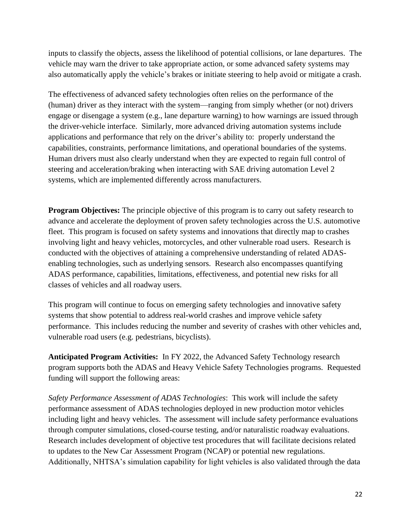inputs to classify the objects, assess the likelihood of potential collisions, or lane departures. The vehicle may warn the driver to take appropriate action, or some advanced safety systems may also automatically apply the vehicle's brakes or initiate steering to help avoid or mitigate a crash.

The effectiveness of advanced safety technologies often relies on the performance of the (human) driver as they interact with the system—ranging from simply whether (or not) drivers engage or disengage a system (e.g., lane departure warning) to how warnings are issued through the driver-vehicle interface. Similarly, more advanced driving automation systems include applications and performance that rely on the driver's ability to: properly understand the capabilities, constraints, performance limitations, and operational boundaries of the systems. Human drivers must also clearly understand when they are expected to regain full control of steering and acceleration/braking when interacting with SAE driving automation Level 2 systems, which are implemented differently across manufacturers.

**Program Objectives:** The principle objective of this program is to carry out safety research to advance and accelerate the deployment of proven safety technologies across the U.S. automotive fleet. This program is focused on safety systems and innovations that directly map to crashes involving light and heavy vehicles, motorcycles, and other vulnerable road users. Research is conducted with the objectives of attaining a comprehensive understanding of related ADASenabling technologies, such as underlying sensors. Research also encompasses quantifying ADAS performance, capabilities, limitations, effectiveness, and potential new risks for all classes of vehicles and all roadway users.

This program will continue to focus on emerging safety technologies and innovative safety systems that show potential to address real-world crashes and improve vehicle safety performance. This includes reducing the number and severity of crashes with other vehicles and, vulnerable road users (e.g. pedestrians, bicyclists).

**Anticipated Program Activities:** In FY 2022, the Advanced Safety Technology research program supports both the ADAS and Heavy Vehicle Safety Technologies programs. Requested funding will support the following areas:

*Safety Performance Assessment of ADAS Technologies*: This work will include the safety performance assessment of ADAS technologies deployed in new production motor vehicles including light and heavy vehicles. The assessment will include safety performance evaluations through computer simulations, closed-course testing, and/or naturalistic roadway evaluations. Research includes development of objective test procedures that will facilitate decisions related to updates to the New Car Assessment Program (NCAP) or potential new regulations. Additionally, NHTSA's simulation capability for light vehicles is also validated through the data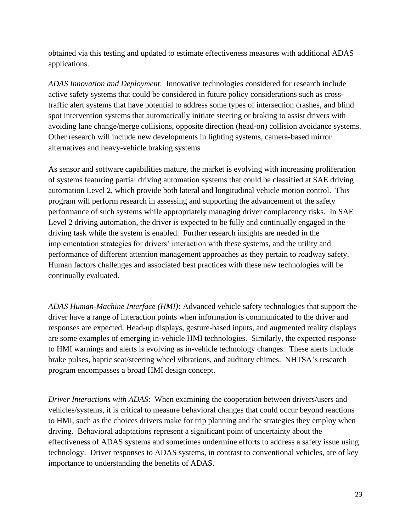obtained via this testing and updated to estimate effectiveness measures with additional ADAS applications.

*ADAS Innovation and Deployment*: Innovative technologies considered for research include active safety systems that could be considered in future policy considerations such as crosstraffic alert systems that have potential to address some types of intersection crashes, and blind spot intervention systems that automatically initiate steering or braking to assist drivers with avoiding lane change/merge collisions, opposite direction (head-on) collision avoidance systems. Other research will include new developments in lighting systems, camera-based mirror alternatives and heavy-vehicle braking systems

As sensor and software capabilities mature, the market is evolving with increasing proliferation of systems featuring partial driving automation systems that could be classified at SAE driving automation Level 2, which provide both lateral and longitudinal vehicle motion control. This program will perform research in assessing and supporting the advancement of the safety performance of such systems while appropriately managing driver complacency risks. In SAE Level 2 driving automation, the driver is expected to be fully and continually engaged in the driving task while the system is enabled. Further research insights are needed in the implementation strategies for drivers' interaction with these systems, and the utility and performance of different attention management approaches as they pertain to roadway safety. Human factors challenges and associated best practices with these new technologies will be continually evaluated.

*ADAS Human-Machine Interface (HMI)***:** Advanced vehicle safety technologies that support the driver have a range of interaction points when information is communicated to the driver and responses are expected. Head-up displays, gesture-based inputs, and augmented reality displays are some examples of emerging in-vehicle HMI technologies. Similarly, the expected response to HMI warnings and alerts is evolving as in-vehicle technology changes. These alerts include brake pulses, haptic seat/steering wheel vibrations, and auditory chimes. NHTSA's research program encompasses a broad HMI design concept.

*Driver Interactions with ADAS*: When examining the cooperation between drivers/users and vehicles/systems, it is critical to measure behavioral changes that could occur beyond reactions to HMI, such as the choices drivers make for trip planning and the strategies they employ when driving. Behavioral adaptations represent a significant point of uncertainty about the effectiveness of ADAS systems and sometimes undermine efforts to address a safety issue using technology. Driver responses to ADAS systems, in contrast to conventional vehicles, are of key importance to understanding the benefits of ADAS.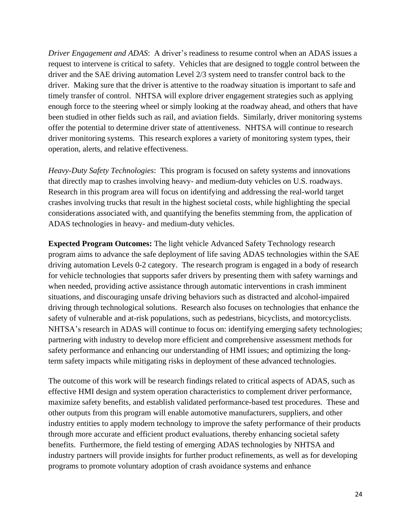*Driver Engagement and ADAS*: A driver's readiness to resume control when an ADAS issues a request to intervene is critical to safety. Vehicles that are designed to toggle control between the driver and the SAE driving automation Level 2/3 system need to transfer control back to the driver. Making sure that the driver is attentive to the roadway situation is important to safe and timely transfer of control. NHTSA will explore driver engagement strategies such as applying enough force to the steering wheel or simply looking at the roadway ahead, and others that have been studied in other fields such as rail, and aviation fields. Similarly, driver monitoring systems offer the potential to determine driver state of attentiveness. NHTSA will continue to research driver monitoring systems. This research explores a variety of monitoring system types, their operation, alerts, and relative effectiveness.

*Heavy-Duty Safety Technologies*: This program is focused on safety systems and innovations that directly map to crashes involving heavy- and medium-duty vehicles on U.S. roadways. Research in this program area will focus on identifying and addressing the real-world target crashes involving trucks that result in the highest societal costs, while highlighting the special considerations associated with, and quantifying the benefits stemming from, the application of ADAS technologies in heavy- and medium-duty vehicles.

**Expected Program Outcomes:** The light vehicle Advanced Safety Technology research program aims to advance the safe deployment of life saving ADAS technologies within the SAE driving automation Levels 0-2 category. The research program is engaged in a body of research for vehicle technologies that supports safer drivers by presenting them with safety warnings and when needed, providing active assistance through automatic interventions in crash imminent situations, and discouraging unsafe driving behaviors such as distracted and alcohol-impaired driving through technological solutions. Research also focuses on technologies that enhance the safety of vulnerable and at-risk populations, such as pedestrians, bicyclists, and motorcyclists. NHTSA's research in ADAS will continue to focus on: identifying emerging safety technologies; partnering with industry to develop more efficient and comprehensive assessment methods for safety performance and enhancing our understanding of HMI issues; and optimizing the longterm safety impacts while mitigating risks in deployment of these advanced technologies.

The outcome of this work will be research findings related to critical aspects of ADAS, such as effective HMI design and system operation characteristics to complement driver performance, maximize safety benefits, and establish validated performance-based test procedures. These and other outputs from this program will enable automotive manufacturers, suppliers, and other industry entities to apply modern technology to improve the safety performance of their products through more accurate and efficient product evaluations, thereby enhancing societal safety benefits. Furthermore, the field testing of emerging ADAS technologies by NHTSA and industry partners will provide insights for further product refinements, as well as for developing programs to promote voluntary adoption of crash avoidance systems and enhance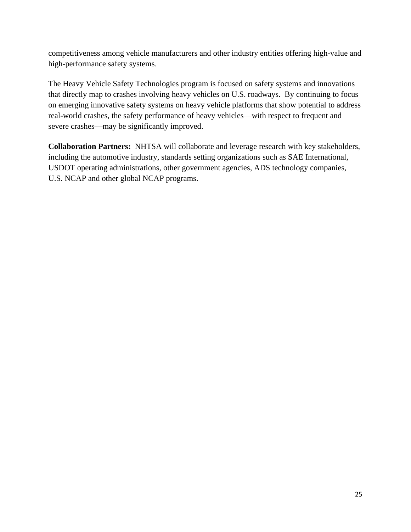competitiveness among vehicle manufacturers and other industry entities offering high-value and high-performance safety systems.

The Heavy Vehicle Safety Technologies program is focused on safety systems and innovations that directly map to crashes involving heavy vehicles on U.S. roadways. By continuing to focus on emerging innovative safety systems on heavy vehicle platforms that show potential to address real-world crashes, the safety performance of heavy vehicles—with respect to frequent and severe crashes—may be significantly improved.

**Collaboration Partners:** NHTSA will collaborate and leverage research with key stakeholders, including the automotive industry, standards setting organizations such as SAE International, USDOT operating administrations, other government agencies, ADS technology companies, U.S. NCAP and other global NCAP programs.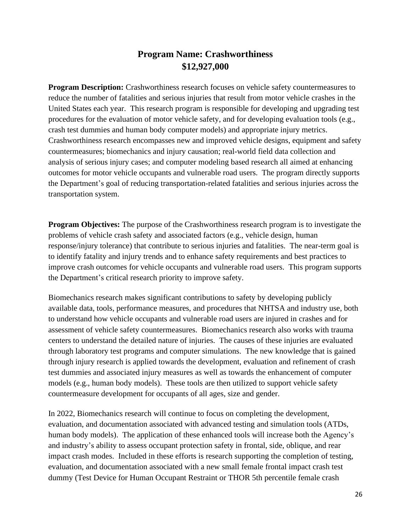## **Program Name: Crashworthiness \$12,927,000**

**Program Description:** Crashworthiness research focuses on vehicle safety countermeasures to reduce the number of fatalities and serious injuries that result from motor vehicle crashes in the United States each year. This research program is responsible for developing and upgrading test procedures for the evaluation of motor vehicle safety, and for developing evaluation tools (e.g., crash test dummies and human body computer models) and appropriate injury metrics. Crashworthiness research encompasses new and improved vehicle designs, equipment and safety countermeasures; biomechanics and injury causation; real-world field data collection and analysis of serious injury cases; and computer modeling based research all aimed at enhancing outcomes for motor vehicle occupants and vulnerable road users. The program directly supports the Department's goal of reducing transportation-related fatalities and serious injuries across the transportation system.

**Program Objectives:** The purpose of the Crashworthiness research program is to investigate the problems of vehicle crash safety and associated factors (e.g., vehicle design, human response/injury tolerance) that contribute to serious injuries and fatalities. The near-term goal is to identify fatality and injury trends and to enhance safety requirements and best practices to improve crash outcomes for vehicle occupants and vulnerable road users. This program supports the Department's critical research priority to improve safety.

Biomechanics research makes significant contributions to safety by developing publicly available data, tools, performance measures, and procedures that NHTSA and industry use, both to understand how vehicle occupants and vulnerable road users are injured in crashes and for assessment of vehicle safety countermeasures. Biomechanics research also works with trauma centers to understand the detailed nature of injuries. The causes of these injuries are evaluated through laboratory test programs and computer simulations. The new knowledge that is gained through injury research is applied towards the development, evaluation and refinement of crash test dummies and associated injury measures as well as towards the enhancement of computer models (e.g., human body models). These tools are then utilized to support vehicle safety countermeasure development for occupants of all ages, size and gender.

In 2022, Biomechanics research will continue to focus on completing the development, evaluation, and documentation associated with advanced testing and simulation tools (ATDs, human body models). The application of these enhanced tools will increase both the Agency's and industry's ability to assess occupant protection safety in frontal, side, oblique, and rear impact crash modes. Included in these efforts is research supporting the completion of testing, evaluation, and documentation associated with a new small female frontal impact crash test dummy (Test Device for Human Occupant Restraint or THOR 5th percentile female crash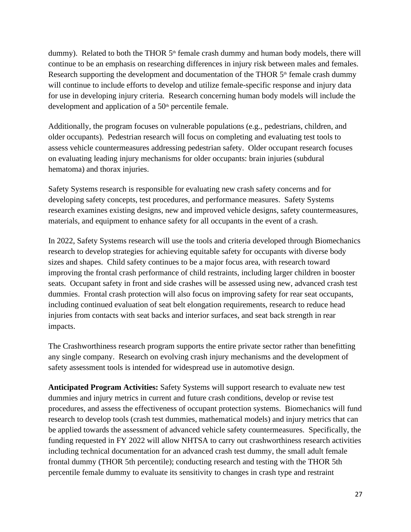dummy). Related to both the THOR 5<sup>th</sup> female crash dummy and human body models, there will continue to be an emphasis on researching differences in injury risk between males and females. Research supporting the development and documentation of the THOR  $5<sup>th</sup>$  female crash dummy will continue to include efforts to develop and utilize female-specific response and injury data for use in developing injury criteria. Research concerning human body models will include the development and application of a  $50<sup>th</sup>$  percentile female.

Additionally, the program focuses on vulnerable populations (e.g., pedestrians, children, and older occupants). Pedestrian research will focus on completing and evaluating test tools to assess vehicle countermeasures addressing pedestrian safety. Older occupant research focuses on evaluating leading injury mechanisms for older occupants: brain injuries (subdural hematoma) and thorax injuries.

Safety Systems research is responsible for evaluating new crash safety concerns and for developing safety concepts, test procedures, and performance measures. Safety Systems research examines existing designs, new and improved vehicle designs, safety countermeasures, materials, and equipment to enhance safety for all occupants in the event of a crash.

In 2022, Safety Systems research will use the tools and criteria developed through Biomechanics research to develop strategies for achieving equitable safety for occupants with diverse body sizes and shapes. Child safety continues to be a major focus area, with research toward improving the frontal crash performance of child restraints, including larger children in booster seats. Occupant safety in front and side crashes will be assessed using new, advanced crash test dummies. Frontal crash protection will also focus on improving safety for rear seat occupants, including continued evaluation of seat belt elongation requirements, research to reduce head injuries from contacts with seat backs and interior surfaces, and seat back strength in rear impacts.

The Crashworthiness research program supports the entire private sector rather than benefitting any single company. Research on evolving crash injury mechanisms and the development of safety assessment tools is intended for widespread use in automotive design.

**Anticipated Program Activities:** Safety Systems will support research to evaluate new test dummies and injury metrics in current and future crash conditions, develop or revise test procedures, and assess the effectiveness of occupant protection systems. Biomechanics will fund research to develop tools (crash test dummies, mathematical models) and injury metrics that can be applied towards the assessment of advanced vehicle safety countermeasures. Specifically, the funding requested in FY 2022 will allow NHTSA to carry out crashworthiness research activities including technical documentation for an advanced crash test dummy, the small adult female frontal dummy (THOR 5th percentile); conducting research and testing with the THOR 5th percentile female dummy to evaluate its sensitivity to changes in crash type and restraint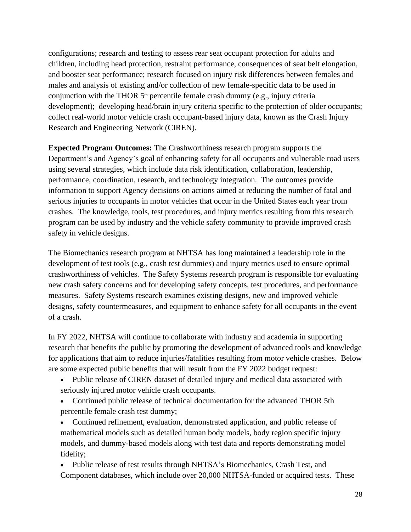configurations; research and testing to assess rear seat occupant protection for adults and children, including head protection, restraint performance, consequences of seat belt elongation, and booster seat performance; research focused on injury risk differences between females and males and analysis of existing and/or collection of new female-specific data to be used in conjunction with the THOR  $5<sup>th</sup>$  percentile female crash dummy (e.g., injury criteria development); developing head/brain injury criteria specific to the protection of older occupants; collect real-world motor vehicle crash occupant-based injury data, known as the Crash Injury Research and Engineering Network (CIREN).

**Expected Program Outcomes:** The Crashworthiness research program supports the Department's and Agency's goal of enhancing safety for all occupants and vulnerable road users using several strategies, which include data risk identification, collaboration, leadership, performance, coordination, research, and technology integration. The outcomes provide information to support Agency decisions on actions aimed at reducing the number of fatal and serious injuries to occupants in motor vehicles that occur in the United States each year from crashes. The knowledge, tools, test procedures, and injury metrics resulting from this research program can be used by industry and the vehicle safety community to provide improved crash safety in vehicle designs.

The Biomechanics research program at NHTSA has long maintained a leadership role in the development of test tools (e.g., crash test dummies) and injury metrics used to ensure optimal crashworthiness of vehicles. The Safety Systems research program is responsible for evaluating new crash safety concerns and for developing safety concepts, test procedures, and performance measures. Safety Systems research examines existing designs, new and improved vehicle designs, safety countermeasures, and equipment to enhance safety for all occupants in the event of a crash.

In FY 2022, NHTSA will continue to collaborate with industry and academia in supporting research that benefits the public by promoting the development of advanced tools and knowledge for applications that aim to reduce injuries/fatalities resulting from motor vehicle crashes. Below are some expected public benefits that will result from the FY 2022 budget request:

- Public release of CIREN dataset of detailed injury and medical data associated with seriously injured motor vehicle crash occupants.
- Continued public release of technical documentation for the advanced THOR 5th percentile female crash test dummy;
- Continued refinement, evaluation, demonstrated application, and public release of mathematical models such as detailed human body models, body region specific injury models, and dummy-based models along with test data and reports demonstrating model fidelity;
- Public release of test results through NHTSA's Biomechanics, Crash Test, and Component databases, which include over 20,000 NHTSA-funded or acquired tests. These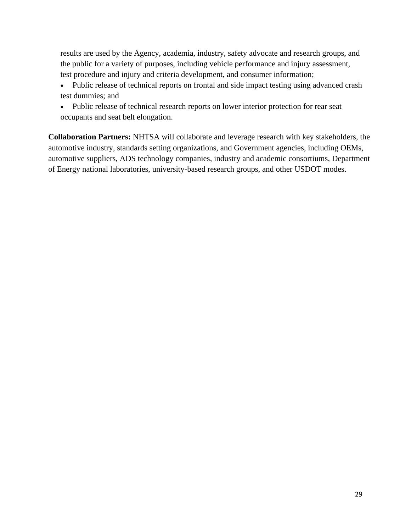results are used by the Agency, academia, industry, safety advocate and research groups, and the public for a variety of purposes, including vehicle performance and injury assessment, test procedure and injury and criteria development, and consumer information;

- Public release of technical reports on frontal and side impact testing using advanced crash test dummies; and
- Public release of technical research reports on lower interior protection for rear seat occupants and seat belt elongation.

**Collaboration Partners:** NHTSA will collaborate and leverage research with key stakeholders, the automotive industry, standards setting organizations, and Government agencies, including OEMs, automotive suppliers, ADS technology companies, industry and academic consortiums, Department of Energy national laboratories, university-based research groups, and other USDOT modes.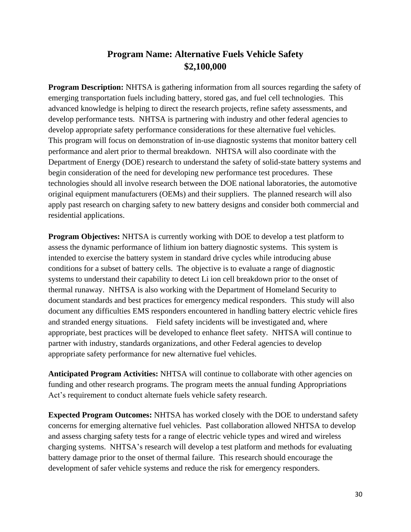## **Program Name: Alternative Fuels Vehicle Safety \$2,100,000**

**Program Description:** NHTSA is gathering information from all sources regarding the safety of emerging transportation fuels including battery, stored gas, and fuel cell technologies. This advanced knowledge is helping to direct the research projects, refine safety assessments, and develop performance tests. NHTSA is partnering with industry and other federal agencies to develop appropriate safety performance considerations for these alternative fuel vehicles. This program will focus on demonstration of in-use diagnostic systems that monitor battery cell performance and alert prior to thermal breakdown. NHTSA will also coordinate with the Department of Energy (DOE) research to understand the safety of solid-state battery systems and begin consideration of the need for developing new performance test procedures. These technologies should all involve research between the DOE national laboratories, the automotive original equipment manufacturers (OEMs) and their suppliers. The planned research will also apply past research on charging safety to new battery designs and consider both commercial and residential applications.

**Program Objectives:** NHTSA is currently working with DOE to develop a test platform to assess the dynamic performance of lithium ion battery diagnostic systems. This system is intended to exercise the battery system in standard drive cycles while introducing abuse conditions for a subset of battery cells. The objective is to evaluate a range of diagnostic systems to understand their capability to detect Li ion cell breakdown prior to the onset of thermal runaway. NHTSA is also working with the Department of Homeland Security to document standards and best practices for emergency medical responders. This study will also document any difficulties EMS responders encountered in handling battery electric vehicle fires and stranded energy situations. Field safety incidents will be investigated and, where appropriate, best practices will be developed to enhance fleet safety. NHTSA will continue to partner with industry, standards organizations, and other Federal agencies to develop appropriate safety performance for new alternative fuel vehicles.

**Anticipated Program Activities:** NHTSA will continue to collaborate with other agencies on funding and other research programs. The program meets the annual funding Appropriations Act's requirement to conduct alternate fuels vehicle safety research.

**Expected Program Outcomes:** NHTSA has worked closely with the DOE to understand safety concerns for emerging alternative fuel vehicles. Past collaboration allowed NHTSA to develop and assess charging safety tests for a range of electric vehicle types and wired and wireless charging systems. NHTSA's research will develop a test platform and methods for evaluating battery damage prior to the onset of thermal failure. This research should encourage the development of safer vehicle systems and reduce the risk for emergency responders.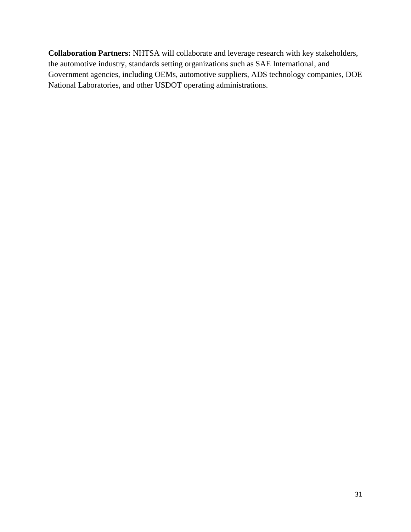**Collaboration Partners:** NHTSA will collaborate and leverage research with key stakeholders, the automotive industry, standards setting organizations such as SAE International, and Government agencies, including OEMs, automotive suppliers, ADS technology companies, DOE National Laboratories, and other USDOT operating administrations.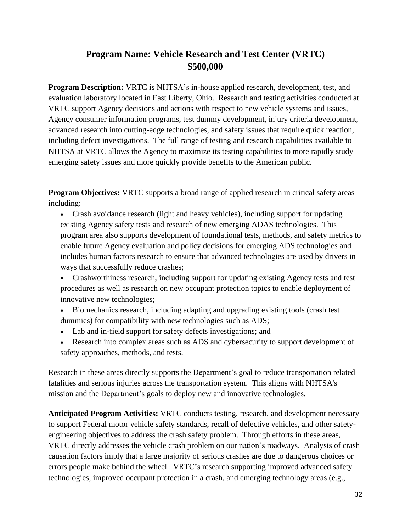## **Program Name: Vehicle Research and Test Center (VRTC) \$500,000**

**Program Description:** VRTC is NHTSA's in-house applied research, development, test, and evaluation laboratory located in East Liberty, Ohio. Research and testing activities conducted at VRTC support Agency decisions and actions with respect to new vehicle systems and issues, Agency consumer information programs, test dummy development, injury criteria development, advanced research into cutting-edge technologies, and safety issues that require quick reaction, including defect investigations. The full range of testing and research capabilities available to NHTSA at VRTC allows the Agency to maximize its testing capabilities to more rapidly study emerging safety issues and more quickly provide benefits to the American public.

**Program Objectives:** VRTC supports a broad range of applied research in critical safety areas including:

• Crash avoidance research (light and heavy vehicles), including support for updating existing Agency safety tests and research of new emerging ADAS technologies. This program area also supports development of foundational tests, methods, and safety metrics to enable future Agency evaluation and policy decisions for emerging ADS technologies and includes human factors research to ensure that advanced technologies are used by drivers in ways that successfully reduce crashes;

• Crashworthiness research, including support for updating existing Agency tests and test procedures as well as research on new occupant protection topics to enable deployment of innovative new technologies;

• Biomechanics research, including adapting and upgrading existing tools (crash test dummies) for compatibility with new technologies such as ADS;

- Lab and in-field support for safety defects investigations; and
- Research into complex areas such as ADS and cybersecurity to support development of safety approaches, methods, and tests.

Research in these areas directly supports the Department's goal to reduce transportation related fatalities and serious injuries across the transportation system. This aligns with NHTSA's mission and the Department's goals to deploy new and innovative technologies.

**Anticipated Program Activities:** VRTC conducts testing, research, and development necessary to support Federal motor vehicle safety standards, recall of defective vehicles, and other safetyengineering objectives to address the crash safety problem. Through efforts in these areas, VRTC directly addresses the vehicle crash problem on our nation's roadways. Analysis of crash causation factors imply that a large majority of serious crashes are due to dangerous choices or errors people make behind the wheel. VRTC's research supporting improved advanced safety technologies, improved occupant protection in a crash, and emerging technology areas (e.g.,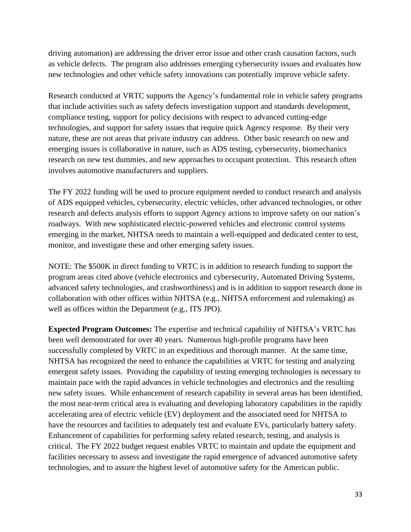driving automation) are addressing the driver error issue and other crash causation factors, such as vehicle defects. The program also addresses emerging cybersecurity issues and evaluates how new technologies and other vehicle safety innovations can potentially improve vehicle safety.

Research conducted at VRTC supports the Agency's fundamental role in vehicle safety programs that include activities such as safety defects investigation support and standards development, compliance testing, support for policy decisions with respect to advanced cutting-edge technologies, and support for safety issues that require quick Agency response. By their very nature, these are not areas that private industry can address. Other basic research on new and emerging issues is collaborative in nature, such as ADS testing, cybersecurity, biomechanics research on new test dummies, and new approaches to occupant protection. This research often involves automotive manufacturers and suppliers.

The FY 2022 funding will be used to procure equipment needed to conduct research and analysis of ADS equipped vehicles, cybersecurity, electric vehicles, other advanced technologies, or other research and defects analysis efforts to support Agency actions to improve safety on our nation's roadways. With new sophisticated electric-powered vehicles and electronic control systems emerging in the market, NHTSA needs to maintain a well-equipped and dedicated center to test, monitor, and investigate these and other emerging safety issues.

NOTE: The \$500K in direct funding to VRTC is in addition to research funding to support the program areas cited above (vehicle electronics and cybersecurity, Automated Driving Systems, advanced safety technologies, and crashworthiness) and is in addition to support research done in collaboration with other offices within NHTSA (e.g., NHTSA enforcement and rulemaking) as well as offices within the Department (e.g., ITS JPO).

**Expected Program Outcomes:** The expertise and technical capability of NHTSA's VRTC has been well demonstrated for over 40 years. Numerous high-profile programs have been successfully completed by VRTC in an expeditious and thorough manner. At the same time, NHTSA has recognized the need to enhance the capabilities at VRTC for testing and analyzing emergent safety issues. Providing the capability of testing emerging technologies is necessary to maintain pace with the rapid advances in vehicle technologies and electronics and the resulting new safety issues. While enhancement of research capability in several areas has been identified, the most near-term critical area is evaluating and developing laboratory capabilities in the rapidly accelerating area of electric vehicle (EV) deployment and the associated need for NHTSA to have the resources and facilities to adequately test and evaluate EVs, particularly battery safety. Enhancement of capabilities for performing safety related research, testing, and analysis is critical. The FY 2022 budget request enables VRTC to maintain and update the equipment and facilities necessary to assess and investigate the rapid emergence of advanced automotive safety technologies, and to assure the highest level of automotive safety for the American public.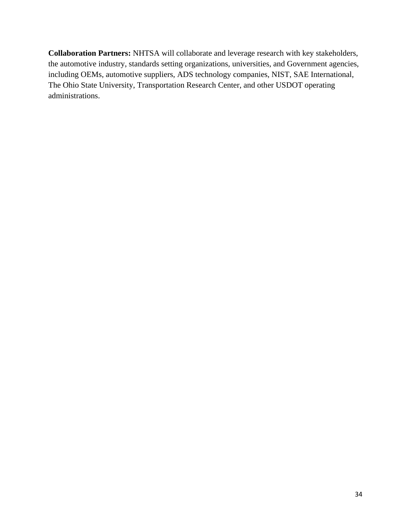**Collaboration Partners:** NHTSA will collaborate and leverage research with key stakeholders, the automotive industry, standards setting organizations, universities, and Government agencies, including OEMs, automotive suppliers, ADS technology companies, NIST, SAE International, The Ohio State University, Transportation Research Center, and other USDOT operating administrations.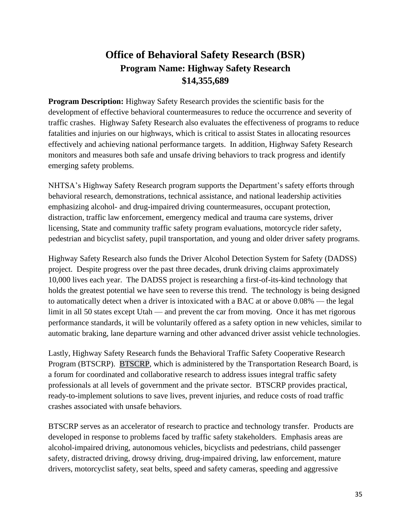# **Office of Behavioral Safety Research (BSR) Program Name: Highway Safety Research \$14,355,689**

**Program Description:** Highway Safety Research provides the scientific basis for the development of effective behavioral countermeasures to reduce the occurrence and severity of traffic crashes. Highway Safety Research also evaluates the effectiveness of programs to reduce fatalities and injuries on our highways, which is critical to assist States in allocating resources effectively and achieving national performance targets. In addition, Highway Safety Research monitors and measures both safe and unsafe driving behaviors to track progress and identify emerging safety problems.

NHTSA's Highway Safety Research program supports the Department's safety efforts through behavioral research, demonstrations, technical assistance, and national leadership activities emphasizing alcohol- and drug-impaired driving countermeasures, occupant protection, distraction, traffic law enforcement, emergency medical and trauma care systems, driver licensing, State and community traffic safety program evaluations, motorcycle rider safety, pedestrian and bicyclist safety, pupil transportation, and young and older driver safety programs.

Highway Safety Research also funds the Driver Alcohol Detection System for Safety (DADSS) project. Despite progress over the past three decades, drunk driving claims approximately 10,000 lives each year. The DADSS project is researching a first-of-its-kind technology that holds the greatest potential we have seen to reverse this trend. The technology is being designed to automatically detect when a driver is intoxicated with a BAC at or above 0.08% — the legal limit in all 50 states except Utah — and prevent the car from moving. Once it has met rigorous performance standards, it will be voluntarily offered as a safety option in new vehicles, similar to automatic braking, lane departure warning and other advanced driver assist vehicle technologies.

Lastly, Highway Safety Research funds the Behavioral Traffic Safety Cooperative Research Program (BTSCRP). [BTSCRP,](http://www.trb.org/BTSCRP/BTSCRP.aspx) which is administered by the Transportation Research Board, is a forum for coordinated and collaborative research to address issues integral traffic safety professionals at all levels of government and the private sector. BTSCRP provides practical, ready-to-implement solutions to save lives, prevent injuries, and reduce costs of road traffic crashes associated with unsafe behaviors.

BTSCRP serves as an accelerator of research to practice and technology transfer. Products are developed in response to problems faced by traffic safety stakeholders. Emphasis areas are alcohol-impaired driving, autonomous vehicles, bicyclists and pedestrians, child passenger safety, distracted driving, drowsy driving, drug-impaired driving, law enforcement, mature drivers, motorcyclist safety, seat belts, speed and safety cameras, speeding and aggressive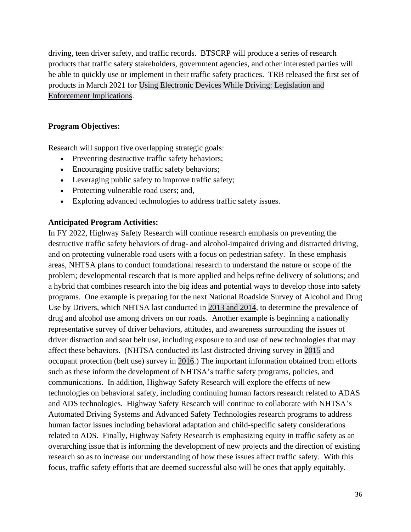driving, teen driver safety, and traffic records. BTSCRP will produce a series of research products that traffic safety stakeholders, government agencies, and other interested parties will be able to quickly use or implement in their traffic safety practices. TRB released the first set of products in March 2021 for Using Electronic Devices While Driving: [Legislation](https://www.nap.edu/catalog/26082/using-electronic-devices-while-driving-legislation-and-enforcement-implications) and Enforcement [Implications.](https://www.nap.edu/catalog/26082/using-electronic-devices-while-driving-legislation-and-enforcement-implications)

### **Program Objectives:**

Research will support five overlapping strategic goals:

- Preventing destructive traffic safety behaviors;
- Encouraging positive traffic safety behaviors;
- Leveraging public safety to improve traffic safety;
- Protecting vulnerable road users; and,
- Exploring advanced technologies to address traffic safety issues.

#### **Anticipated Program Activities:**

In FY 2022, Highway Safety Research will continue research emphasis on preventing the destructive traffic safety behaviors of drug- and alcohol-impaired driving and distracted driving, and on protecting vulnerable road users with a focus on pedestrian safety. In these emphasis areas, NHTSA plans to conduct foundational research to understand the nature or scope of the problem; developmental research that is more applied and helps refine delivery of solutions; and a hybrid that combines research into the big ideas and potential ways to develop those into safety programs. One example is preparing for the next National Roadside Survey of Alcohol and Drug Use by Drivers, which NHTSA last conducted in 2013 and [2014,](https://rosap.ntl.bts.gov/view/dot/1992) to determine the prevalence of drug and alcohol use among drivers on our roads. Another example is beginning a nationally representative survey of driver behaviors, attitudes, and awareness surrounding the issues of driver distraction and seat belt use, including exposure to and use of new technologies that may affect these behaviors. (NHTSA conducted its last distracted driving survey in [2015](https://rosap.ntl.bts.gov/view/dot/35966) and occupant protection (belt use) survey in [2016.](https://rosap.ntl.bts.gov/view/dot/43608)) The important information obtained from efforts such as these inform the development of NHTSA's traffic safety programs, policies, and communications. In addition, Highway Safety Research will explore the effects of new technologies on behavioral safety, including continuing human factors research related to ADAS and ADS technologies. Highway Safety Research will continue to collaborate with NHTSA's Automated Driving Systems and Advanced Safety Technologies research programs to address human factor issues including behavioral adaptation and child-specific safety considerations related to ADS. Finally, Highway Safety Research is emphasizing equity in traffic safety as an overarching issue that is informing the development of new projects and the direction of existing research so as to increase our understanding of how these issues affect traffic safety. With this focus, traffic safety efforts that are deemed successful also will be ones that apply equitably.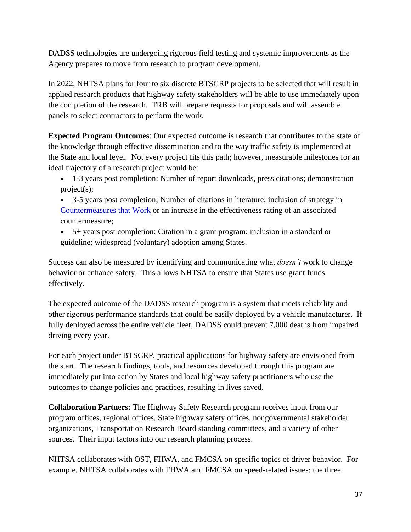DADSS technologies are undergoing rigorous field testing and systemic improvements as the Agency prepares to move from research to program development.

In 2022, NHTSA plans for four to six discrete BTSCRP projects to be selected that will result in applied research products that highway safety stakeholders will be able to use immediately upon the completion of the research. TRB will prepare requests for proposals and will assemble panels to select contractors to perform the work.

**Expected Program Outcomes**: Our expected outcome is research that contributes to the state of the knowledge through effective dissemination and to the way traffic safety is implemented at the State and local level. Not every project fits this path; however, measurable milestones for an ideal trajectory of a research project would be:

- 1-3 years post completion: Number of report downloads, press citations; demonstration project(s);
- 3-5 years post completion; Number of citations in literature; inclusion of strategy in [Countermeasures](https://rosap.ntl.bts.gov/view/dot/36719) that Work or an increase in the effectiveness rating of an associated countermeasure;
- 5+ years post completion: Citation in a grant program; inclusion in a standard or guideline; widespread (voluntary) adoption among States.

Success can also be measured by identifying and communicating what *doesn't* work to change behavior or enhance safety. This allows NHTSA to ensure that States use grant funds effectively.

The expected outcome of the DADSS research program is a system that meets reliability and other rigorous performance standards that could be easily deployed by a vehicle manufacturer. If fully deployed across the entire vehicle fleet, DADSS could prevent 7,000 deaths from impaired driving every year.

For each project under BTSCRP, practical applications for highway safety are envisioned from the start. The research findings, tools, and resources developed through this program are immediately put into action by States and local highway safety practitioners who use the outcomes to change policies and practices, resulting in lives saved.

**Collaboration Partners:** The Highway Safety Research program receives input from our program offices, regional offices, State highway safety offices, nongovernmental stakeholder organizations, Transportation Research Board standing committees, and a variety of other sources. Their input factors into our research planning process.

NHTSA collaborates with OST, FHWA, and FMCSA on specific topics of driver behavior. For example, NHTSA collaborates with FHWA and FMCSA on speed-related issues; the three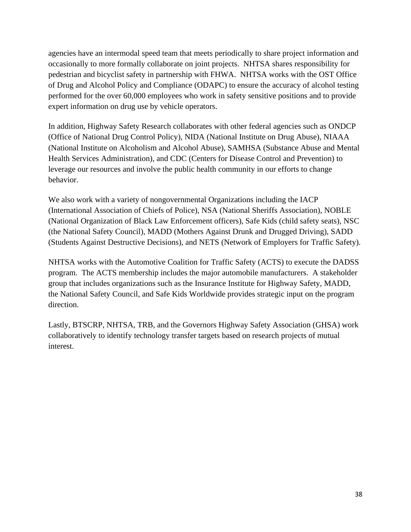agencies have an intermodal speed team that meets periodically to share project information and occasionally to more formally collaborate on joint projects. NHTSA shares responsibility for pedestrian and bicyclist safety in partnership with FHWA. NHTSA works with the OST Office of Drug and Alcohol Policy and Compliance (ODAPC) to ensure the accuracy of alcohol testing performed for the over 60,000 employees who work in safety sensitive positions and to provide expert information on drug use by vehicle operators.

In addition, Highway Safety Research collaborates with other federal agencies such as ONDCP (Office of National Drug Control Policy), NIDA (National Institute on Drug Abuse), NIAAA (National Institute on Alcoholism and Alcohol Abuse), SAMHSA (Substance Abuse and Mental Health Services Administration), and CDC (Centers for Disease Control and Prevention) to leverage our resources and involve the public health community in our efforts to change behavior.

We also work with a variety of nongovernmental Organizations including the IACP (International Association of Chiefs of Police), NSA (National Sheriffs Association), NOBLE (National Organization of Black Law Enforcement officers), Safe Kids (child safety seats), NSC (the National Safety Council), MADD (Mothers Against Drunk and Drugged Driving), SADD (Students Against Destructive Decisions), and NETS (Network of Employers for Traffic Safety).

NHTSA works with the Automotive Coalition for Traffic Safety (ACTS) to execute the DADSS program. The ACTS membership includes the major automobile manufacturers. A stakeholder group that includes organizations such as the Insurance Institute for Highway Safety, MADD, the National Safety Council, and Safe Kids Worldwide provides strategic input on the program direction.

Lastly, BTSCRP, NHTSA, TRB, and the Governors Highway Safety Association (GHSA) work collaboratively to identify technology transfer targets based on research projects of mutual interest.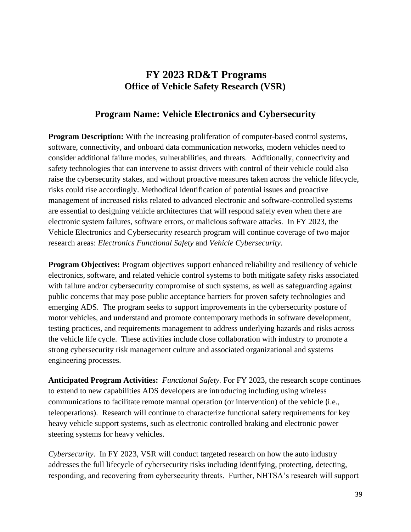## **FY 2023 RD&T Programs Office of Vehicle Safety Research (VSR)**

### **Program Name: Vehicle Electronics and Cybersecurity**

**Program Description:** With the increasing proliferation of computer-based control systems, software, connectivity, and onboard data communication networks, modern vehicles need to consider additional failure modes, vulnerabilities, and threats. Additionally, connectivity and safety technologies that can intervene to assist drivers with control of their vehicle could also raise the cybersecurity stakes, and without proactive measures taken across the vehicle lifecycle, risks could rise accordingly. Methodical identification of potential issues and proactive management of increased risks related to advanced electronic and software-controlled systems are essential to designing vehicle architectures that will respond safely even when there are electronic system failures, software errors, or malicious software attacks. In FY 2023, the Vehicle Electronics and Cybersecurity research program will continue coverage of two major research areas: *Electronics Functional Safety* and *Vehicle Cybersecurity*.

**Program Objectives:** Program objectives support enhanced reliability and resiliency of vehicle electronics, software, and related vehicle control systems to both mitigate safety risks associated with failure and/or cybersecurity compromise of such systems, as well as safeguarding against public concerns that may pose public acceptance barriers for proven safety technologies and emerging ADS. The program seeks to support improvements in the cybersecurity posture of motor vehicles, and understand and promote contemporary methods in software development, testing practices, and requirements management to address underlying hazards and risks across the vehicle life cycle. These activities include close collaboration with industry to promote a strong cybersecurity risk management culture and associated organizational and systems engineering processes.

**Anticipated Program Activities:** *Functional Safety.* For FY 2023, the research scope continues to extend to new capabilities ADS developers are introducing including using wireless communications to facilitate remote manual operation (or intervention) of the vehicle (i.e., teleoperations). Research will continue to characterize functional safety requirements for key heavy vehicle support systems, such as electronic controlled braking and electronic power steering systems for heavy vehicles.

*Cybersecurity*. In FY 2023, VSR will conduct targeted research on how the auto industry addresses the full lifecycle of cybersecurity risks including identifying, protecting, detecting, responding, and recovering from cybersecurity threats. Further, NHTSA's research will support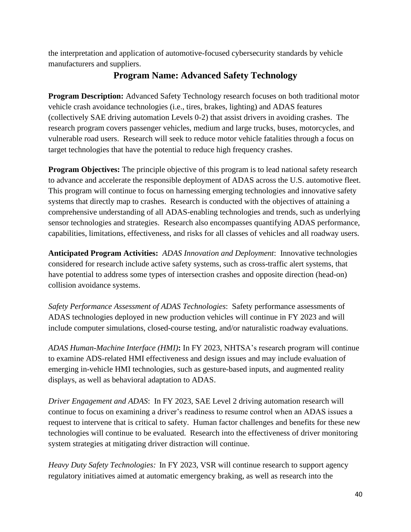the interpretation and application of automotive-focused cybersecurity standards by vehicle manufacturers and suppliers.

## **Program Name: Advanced Safety Technology**

**Program Description:** Advanced Safety Technology research focuses on both traditional motor vehicle crash avoidance technologies (i.e., tires, brakes, lighting) and ADAS features (collectively SAE driving automation Levels 0-2) that assist drivers in avoiding crashes. The research program covers passenger vehicles, medium and large trucks, buses, motorcycles, and vulnerable road users. Research will seek to reduce motor vehicle fatalities through a focus on target technologies that have the potential to reduce high frequency crashes.

**Program Objectives:** The principle objective of this program is to lead national safety research to advance and accelerate the responsible deployment of ADAS across the U.S. automotive fleet. This program will continue to focus on harnessing emerging technologies and innovative safety systems that directly map to crashes. Research is conducted with the objectives of attaining a comprehensive understanding of all ADAS-enabling technologies and trends, such as underlying sensor technologies and strategies. Research also encompasses quantifying ADAS performance, capabilities, limitations, effectiveness, and risks for all classes of vehicles and all roadway users.

**Anticipated Program Activities:** *ADAS Innovation and Deployment*: Innovative technologies considered for research include active safety systems, such as cross-traffic alert systems, that have potential to address some types of intersection crashes and opposite direction (head-on) collision avoidance systems.

*Safety Performance Assessment of ADAS Technologies*: Safety performance assessments of ADAS technologies deployed in new production vehicles will continue in FY 2023 and will include computer simulations, closed-course testing, and/or naturalistic roadway evaluations.

*ADAS Human-Machine Interface (HMI)***:** In FY 2023, NHTSA's research program will continue to examine ADS-related HMI effectiveness and design issues and may include evaluation of emerging in-vehicle HMI technologies, such as gesture-based inputs, and augmented reality displays, as well as behavioral adaptation to ADAS.

*Driver Engagement and ADAS*: In FY 2023, SAE Level 2 driving automation research will continue to focus on examining a driver's readiness to resume control when an ADAS issues a request to intervene that is critical to safety. Human factor challenges and benefits for these new technologies will continue to be evaluated. Research into the effectiveness of driver monitoring system strategies at mitigating driver distraction will continue.

*Heavy Duty Safety Technologies:* In FY 2023, VSR will continue research to support agency regulatory initiatives aimed at automatic emergency braking, as well as research into the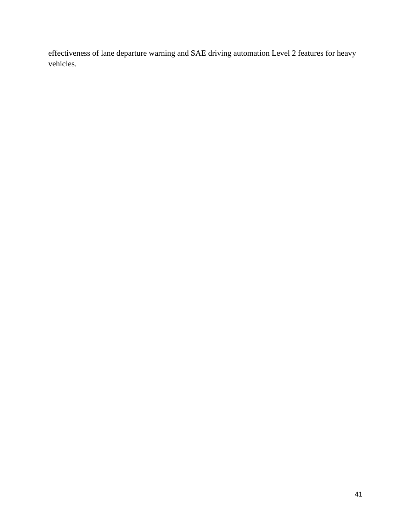effectiveness of lane departure warning and SAE driving automation Level 2 features for heavy vehicles.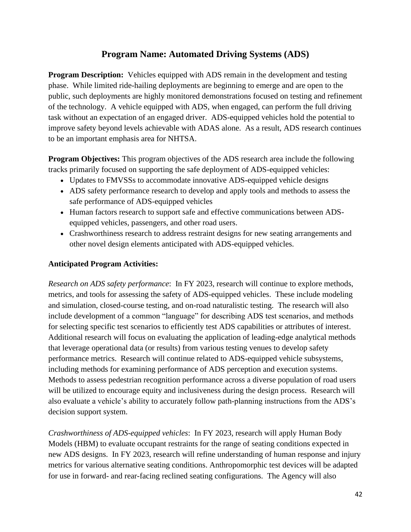## **Program Name: Automated Driving Systems (ADS)**

**Program Description:** Vehicles equipped with ADS remain in the development and testing phase. While limited ride-hailing deployments are beginning to emerge and are open to the public, such deployments are highly monitored demonstrations focused on testing and refinement of the technology. A vehicle equipped with ADS, when engaged, can perform the full driving task without an expectation of an engaged driver. ADS-equipped vehicles hold the potential to improve safety beyond levels achievable with ADAS alone. As a result, ADS research continues to be an important emphasis area for NHTSA.

**Program Objectives:** This program objectives of the ADS research area include the following tracks primarily focused on supporting the safe deployment of ADS-equipped vehicles:

- Updates to FMVSSs to accommodate innovative ADS-equipped vehicle designs
- ADS safety performance research to develop and apply tools and methods to assess the safe performance of ADS-equipped vehicles
- Human factors research to support safe and effective communications between ADSequipped vehicles, passengers, and other road users.
- Crashworthiness research to address restraint designs for new seating arrangements and other novel design elements anticipated with ADS-equipped vehicles.

### **Anticipated Program Activities:**

*Research on ADS safety performance*: In FY 2023, research will continue to explore methods, metrics, and tools for assessing the safety of ADS-equipped vehicles. These include modeling and simulation, closed-course testing, and on-road naturalistic testing. The research will also include development of a common "language" for describing ADS test scenarios, and methods for selecting specific test scenarios to efficiently test ADS capabilities or attributes of interest. Additional research will focus on evaluating the application of leading-edge analytical methods that leverage operational data (or results) from various testing venues to develop safety performance metrics. Research will continue related to ADS-equipped vehicle subsystems, including methods for examining performance of ADS perception and execution systems. Methods to assess pedestrian recognition performance across a diverse population of road users will be utilized to encourage equity and inclusiveness during the design process. Research will also evaluate a vehicle's ability to accurately follow path-planning instructions from the ADS's decision support system.

*Crashworthiness of ADS-equipped vehicles*: In FY 2023, research will apply Human Body Models (HBM) to evaluate occupant restraints for the range of seating conditions expected in new ADS designs. In FY 2023, research will refine understanding of human response and injury metrics for various alternative seating conditions. Anthropomorphic test devices will be adapted for use in forward- and rear-facing reclined seating configurations. The Agency will also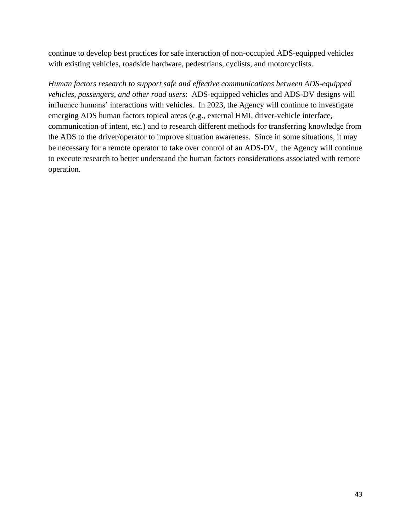continue to develop best practices for safe interaction of non-occupied ADS-equipped vehicles with existing vehicles, roadside hardware, pedestrians, cyclists, and motorcyclists.

*Human factors research to support safe and effective communications between ADS-equipped vehicles, passengers, and other road users*: ADS-equipped vehicles and ADS-DV designs will influence humans' interactions with vehicles. In 2023, the Agency will continue to investigate emerging ADS human factors topical areas (e.g., external HMI, driver-vehicle interface, communication of intent, etc.) and to research different methods for transferring knowledge from the ADS to the driver/operator to improve situation awareness. Since in some situations, it may be necessary for a remote operator to take over control of an ADS-DV, the Agency will continue to execute research to better understand the human factors considerations associated with remote operation.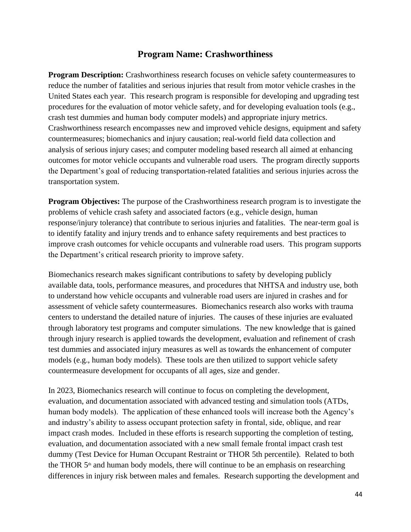### **Program Name: Crashworthiness**

**Program Description:** Crashworthiness research focuses on vehicle safety countermeasures to reduce the number of fatalities and serious injuries that result from motor vehicle crashes in the United States each year. This research program is responsible for developing and upgrading test procedures for the evaluation of motor vehicle safety, and for developing evaluation tools (e.g., crash test dummies and human body computer models) and appropriate injury metrics. Crashworthiness research encompasses new and improved vehicle designs, equipment and safety countermeasures; biomechanics and injury causation; real-world field data collection and analysis of serious injury cases; and computer modeling based research all aimed at enhancing outcomes for motor vehicle occupants and vulnerable road users. The program directly supports the Department's goal of reducing transportation-related fatalities and serious injuries across the transportation system.

**Program Objectives:** The purpose of the Crashworthiness research program is to investigate the problems of vehicle crash safety and associated factors (e.g., vehicle design, human response/injury tolerance) that contribute to serious injuries and fatalities. The near-term goal is to identify fatality and injury trends and to enhance safety requirements and best practices to improve crash outcomes for vehicle occupants and vulnerable road users. This program supports the Department's critical research priority to improve safety.

Biomechanics research makes significant contributions to safety by developing publicly available data, tools, performance measures, and procedures that NHTSA and industry use, both to understand how vehicle occupants and vulnerable road users are injured in crashes and for assessment of vehicle safety countermeasures. Biomechanics research also works with trauma centers to understand the detailed nature of injuries. The causes of these injuries are evaluated through laboratory test programs and computer simulations. The new knowledge that is gained through injury research is applied towards the development, evaluation and refinement of crash test dummies and associated injury measures as well as towards the enhancement of computer models (e.g., human body models). These tools are then utilized to support vehicle safety countermeasure development for occupants of all ages, size and gender.

In 2023, Biomechanics research will continue to focus on completing the development, evaluation, and documentation associated with advanced testing and simulation tools (ATDs, human body models). The application of these enhanced tools will increase both the Agency's and industry's ability to assess occupant protection safety in frontal, side, oblique, and rear impact crash modes. Included in these efforts is research supporting the completion of testing, evaluation, and documentation associated with a new small female frontal impact crash test dummy (Test Device for Human Occupant Restraint or THOR 5th percentile). Related to both the THOR  $5<sup>th</sup>$  and human body models, there will continue to be an emphasis on researching differences in injury risk between males and females. Research supporting the development and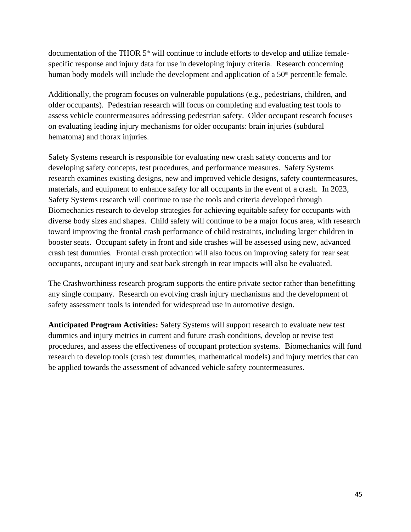documentation of the THOR  $5<sup>th</sup>$  will continue to include efforts to develop and utilize femalespecific response and injury data for use in developing injury criteria. Research concerning human body models will include the development and application of a  $50<sup>th</sup>$  percentile female.

Additionally, the program focuses on vulnerable populations (e.g., pedestrians, children, and older occupants). Pedestrian research will focus on completing and evaluating test tools to assess vehicle countermeasures addressing pedestrian safety. Older occupant research focuses on evaluating leading injury mechanisms for older occupants: brain injuries (subdural hematoma) and thorax injuries.

Safety Systems research is responsible for evaluating new crash safety concerns and for developing safety concepts, test procedures, and performance measures. Safety Systems research examines existing designs, new and improved vehicle designs, safety countermeasures, materials, and equipment to enhance safety for all occupants in the event of a crash. In 2023, Safety Systems research will continue to use the tools and criteria developed through Biomechanics research to develop strategies for achieving equitable safety for occupants with diverse body sizes and shapes. Child safety will continue to be a major focus area, with research toward improving the frontal crash performance of child restraints, including larger children in booster seats. Occupant safety in front and side crashes will be assessed using new, advanced crash test dummies. Frontal crash protection will also focus on improving safety for rear seat occupants, occupant injury and seat back strength in rear impacts will also be evaluated.

The Crashworthiness research program supports the entire private sector rather than benefitting any single company. Research on evolving crash injury mechanisms and the development of safety assessment tools is intended for widespread use in automotive design.

**Anticipated Program Activities:** Safety Systems will support research to evaluate new test dummies and injury metrics in current and future crash conditions, develop or revise test procedures, and assess the effectiveness of occupant protection systems. Biomechanics will fund research to develop tools (crash test dummies, mathematical models) and injury metrics that can be applied towards the assessment of advanced vehicle safety countermeasures.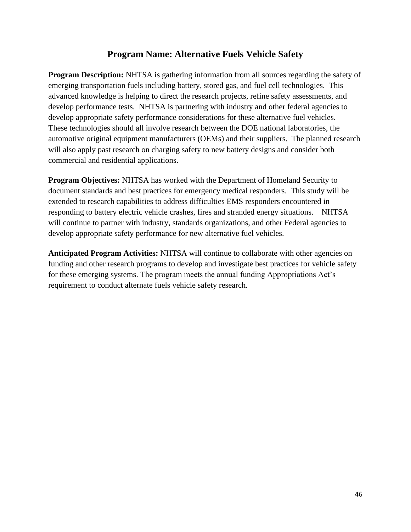### **Program Name: Alternative Fuels Vehicle Safety**

**Program Description:** NHTSA is gathering information from all sources regarding the safety of emerging transportation fuels including battery, stored gas, and fuel cell technologies. This advanced knowledge is helping to direct the research projects, refine safety assessments, and develop performance tests. NHTSA is partnering with industry and other federal agencies to develop appropriate safety performance considerations for these alternative fuel vehicles. These technologies should all involve research between the DOE national laboratories, the automotive original equipment manufacturers (OEMs) and their suppliers. The planned research will also apply past research on charging safety to new battery designs and consider both commercial and residential applications.

**Program Objectives:** NHTSA has worked with the Department of Homeland Security to document standards and best practices for emergency medical responders. This study will be extended to research capabilities to address difficulties EMS responders encountered in responding to battery electric vehicle crashes, fires and stranded energy situations. NHTSA will continue to partner with industry, standards organizations, and other Federal agencies to develop appropriate safety performance for new alternative fuel vehicles.

**Anticipated Program Activities:** NHTSA will continue to collaborate with other agencies on funding and other research programs to develop and investigate best practices for vehicle safety for these emerging systems. The program meets the annual funding Appropriations Act's requirement to conduct alternate fuels vehicle safety research.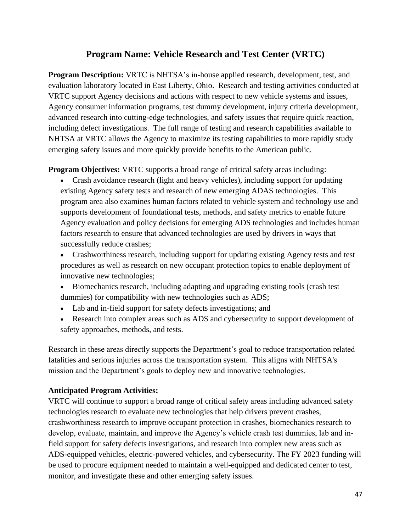## **Program Name: Vehicle Research and Test Center (VRTC)**

**Program Description:** VRTC is NHTSA's in-house applied research, development, test, and evaluation laboratory located in East Liberty, Ohio. Research and testing activities conducted at VRTC support Agency decisions and actions with respect to new vehicle systems and issues, Agency consumer information programs, test dummy development, injury criteria development, advanced research into cutting-edge technologies, and safety issues that require quick reaction, including defect investigations. The full range of testing and research capabilities available to NHTSA at VRTC allows the Agency to maximize its testing capabilities to more rapidly study emerging safety issues and more quickly provide benefits to the American public.

**Program Objectives:** VRTC supports a broad range of critical safety areas including:

• Crash avoidance research (light and heavy vehicles), including support for updating existing Agency safety tests and research of new emerging ADAS technologies. This program area also examines human factors related to vehicle system and technology use and supports development of foundational tests, methods, and safety metrics to enable future Agency evaluation and policy decisions for emerging ADS technologies and includes human factors research to ensure that advanced technologies are used by drivers in ways that successfully reduce crashes;

• Crashworthiness research, including support for updating existing Agency tests and test procedures as well as research on new occupant protection topics to enable deployment of innovative new technologies;

- Biomechanics research, including adapting and upgrading existing tools (crash test dummies) for compatibility with new technologies such as ADS;
- Lab and in-field support for safety defects investigations; and
- Research into complex areas such as ADS and cybersecurity to support development of safety approaches, methods, and tests.

Research in these areas directly supports the Department's goal to reduce transportation related fatalities and serious injuries across the transportation system. This aligns with NHTSA's mission and the Department's goals to deploy new and innovative technologies.

### **Anticipated Program Activities:**

VRTC will continue to support a broad range of critical safety areas including advanced safety technologies research to evaluate new technologies that help drivers prevent crashes, crashworthiness research to improve occupant protection in crashes, biomechanics research to develop, evaluate, maintain, and improve the Agency's vehicle crash test dummies, lab and infield support for safety defects investigations, and research into complex new areas such as ADS-equipped vehicles, electric-powered vehicles, and cybersecurity. The FY 2023 funding will be used to procure equipment needed to maintain a well-equipped and dedicated center to test, monitor, and investigate these and other emerging safety issues.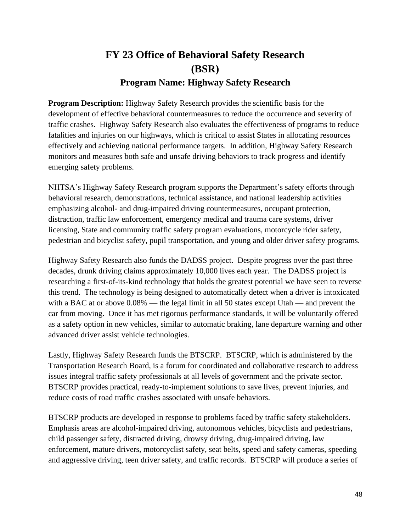# **FY 23 Office of Behavioral Safety Research (BSR) Program Name: Highway Safety Research**

**Program Description:** Highway Safety Research provides the scientific basis for the development of effective behavioral countermeasures to reduce the occurrence and severity of traffic crashes. Highway Safety Research also evaluates the effectiveness of programs to reduce fatalities and injuries on our highways, which is critical to assist States in allocating resources effectively and achieving national performance targets. In addition, Highway Safety Research monitors and measures both safe and unsafe driving behaviors to track progress and identify emerging safety problems.

NHTSA's Highway Safety Research program supports the Department's safety efforts through behavioral research, demonstrations, technical assistance, and national leadership activities emphasizing alcohol- and drug-impaired driving countermeasures, occupant protection, distraction, traffic law enforcement, emergency medical and trauma care systems, driver licensing, State and community traffic safety program evaluations, motorcycle rider safety, pedestrian and bicyclist safety, pupil transportation, and young and older driver safety programs.

Highway Safety Research also funds the DADSS project. Despite progress over the past three decades, drunk driving claims approximately 10,000 lives each year. The DADSS project is researching a first-of-its-kind technology that holds the greatest potential we have seen to reverse this trend. The technology is being designed to automatically detect when a driver is intoxicated with a BAC at or above  $0.08\%$  — the legal limit in all 50 states except Utah — and prevent the car from moving. Once it has met rigorous performance standards, it will be voluntarily offered as a safety option in new vehicles, similar to automatic braking, lane departure warning and other advanced driver assist vehicle technologies.

Lastly, Highway Safety Research funds the BTSCRP. BTSCRP, which is administered by the Transportation Research Board, is a forum for coordinated and collaborative research to address issues integral traffic safety professionals at all levels of government and the private sector. BTSCRP provides practical, ready-to-implement solutions to save lives, prevent injuries, and reduce costs of road traffic crashes associated with unsafe behaviors.

BTSCRP products are developed in response to problems faced by traffic safety stakeholders. Emphasis areas are alcohol-impaired driving, autonomous vehicles, bicyclists and pedestrians, child passenger safety, distracted driving, drowsy driving, drug-impaired driving, law enforcement, mature drivers, motorcyclist safety, seat belts, speed and safety cameras, speeding and aggressive driving, teen driver safety, and traffic records. BTSCRP will produce a series of